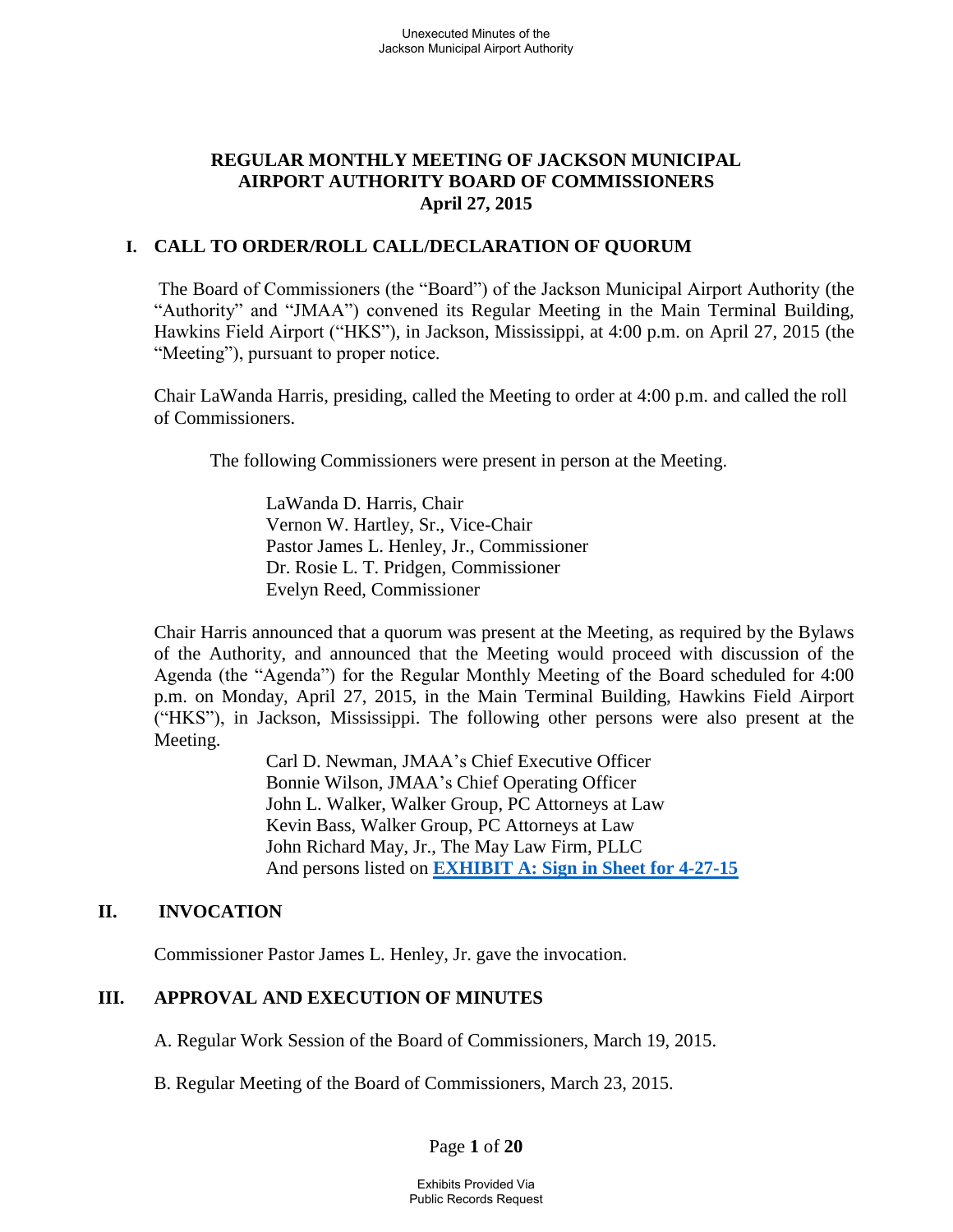## **REGULAR MONTHLY MEETING OF JACKSON MUNICIPAL AIRPORT AUTHORITY BOARD OF COMMISSIONERS April 27, 2015**

## **I. CALL TO ORDER/ROLL CALL/DECLARATION OF QUORUM**

 The Board of Commissioners (the "Board") of the Jackson Municipal Airport Authority (the "Authority" and "JMAA") convened its Regular Meeting in the Main Terminal Building, Hawkins Field Airport ("HKS"), in Jackson, Mississippi, at 4:00 p.m. on April 27, 2015 (the "Meeting"), pursuant to proper notice.

Chair LaWanda Harris, presiding, called the Meeting to order at 4:00 p.m. and called the roll of Commissioners.

The following Commissioners were present in person at the Meeting.

 LaWanda D. Harris, Chair Vernon W. Hartley, Sr., Vice-Chair Pastor James L. Henley, Jr., Commissioner Dr. Rosie L. T. Pridgen, Commissioner Evelyn Reed, Commissioner

 Chair Harris announced that a quorum was present at the Meeting, as required by the Bylaws of the Authority, and announced that the Meeting would proceed with discussion of the Agenda (the "Agenda") for the Regular Monthly Meeting of the Board scheduled for 4:00 p.m. on Monday, April 27, 2015, in the Main Terminal Building, Hawkins Field Airport ("HKS"), in Jackson, Mississippi. The following other persons were also present at the Meeting.

> Carl D. Newman, JMAA's Chief Executive Officer Bonnie Wilson, JMAA's Chief Operating Officer John L. Walker, Walker Group, PC Attorneys at Law Kevin Bass, Walker Group, PC Attorneys at Law John Richard May, Jr., The May Law Firm, PLLC And persons listed on **[EXHIBIT A: Sign in Sheet for 4-27-15](file://walker2008-1/netshare/Work/JMAA4324/BOARD%20MEETINGS/2015-02%20Board%20Meeting/Sign-In%20Sheet%20Regular%20Board%20Meeting%20February%2023%202015.pdf)**

## **II. INVOCATION**

Commissioner Pastor James L. Henley, Jr. gave the invocation.

## **III. APPROVAL AND EXECUTION OF MINUTES**

A. Regular Work Session of the Board of Commissioners, March 19, 2015.

B. Regular Meeting of the Board of Commissioners, March 23, 2015.

Page **1** of **20**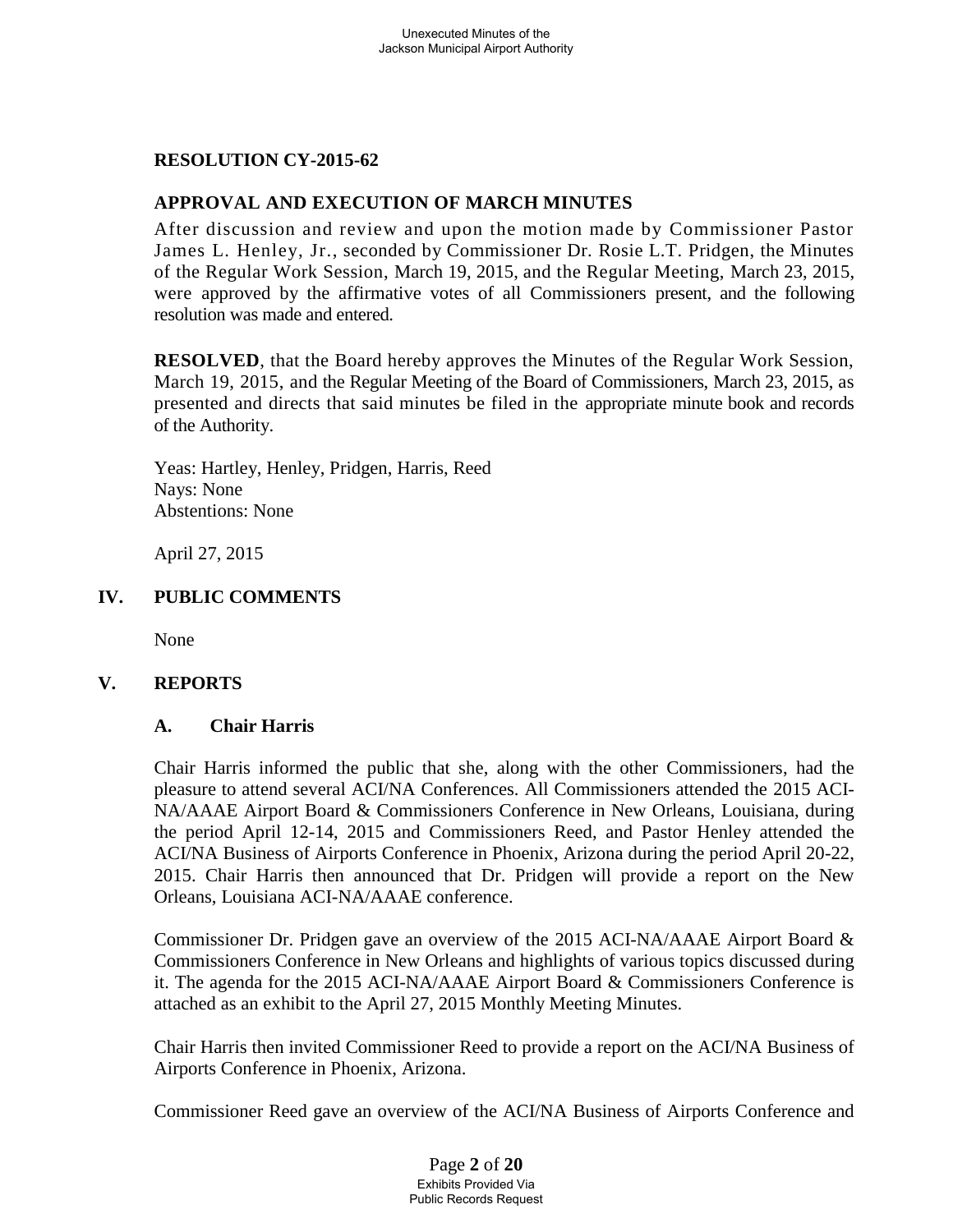## **RESOLUTION CY-2015-62**

## **APPROVAL AND EXECUTION OF MARCH MINUTES**

After discussion and review and upon the motion made by Commissioner Pastor James L. Henley, Jr., seconded by Commissioner Dr. Rosie L.T. Pridgen, the Minutes of the Regular Work Session, March 19, 2015, and the Regular Meeting, March 23, 2015, were approved by the affirmative votes of all Commissioners present, and the following resolution was made and entered.

**RESOLVED**, that the Board hereby approves the Minutes of the Regular Work Session, March 19, 2015, and the Regular Meeting of the Board of Commissioners, March 23, 2015, as presented and directs that said minutes be filed in the appropriate minute book and records of the Authority.

Yeas: Hartley, Henley, Pridgen, Harris, Reed Nays: None Abstentions: None

April 27, 2015

### **IV. PUBLIC COMMENTS**

None

### **V. REPORTS**

### **A. Chair Harris**

Chair Harris informed the public that she, along with the other Commissioners, had the pleasure to attend several ACI/NA Conferences. All Commissioners attended the 2015 ACI-NA/AAAE Airport Board & Commissioners Conference in New Orleans, Louisiana, during the period April 12-14, 2015 and Commissioners Reed, and Pastor Henley attended the ACI/NA Business of Airports Conference in Phoenix, Arizona during the period April 20-22, 2015. Chair Harris then announced that Dr. Pridgen will provide a report on the New Orleans, Louisiana ACI-NA/AAAE conference.

Commissioner Dr. Pridgen gave an overview of the 2015 ACI-NA/AAAE Airport Board & Commissioners Conference in New Orleans and highlights of various topics discussed during it. The agenda for the 2015 ACI-NA/AAAE Airport Board & Commissioners Conference is attached as an exhibit to the April 27, 2015 Monthly Meeting Minutes.

Chair Harris then invited Commissioner Reed to provide a report on the ACI/NA Business of Airports Conference in Phoenix, Arizona.

Commissioner Reed gave an overview of the ACI/NA Business of Airports Conference and

Page **2** of **20** Exhibits Provided Via Public Records Request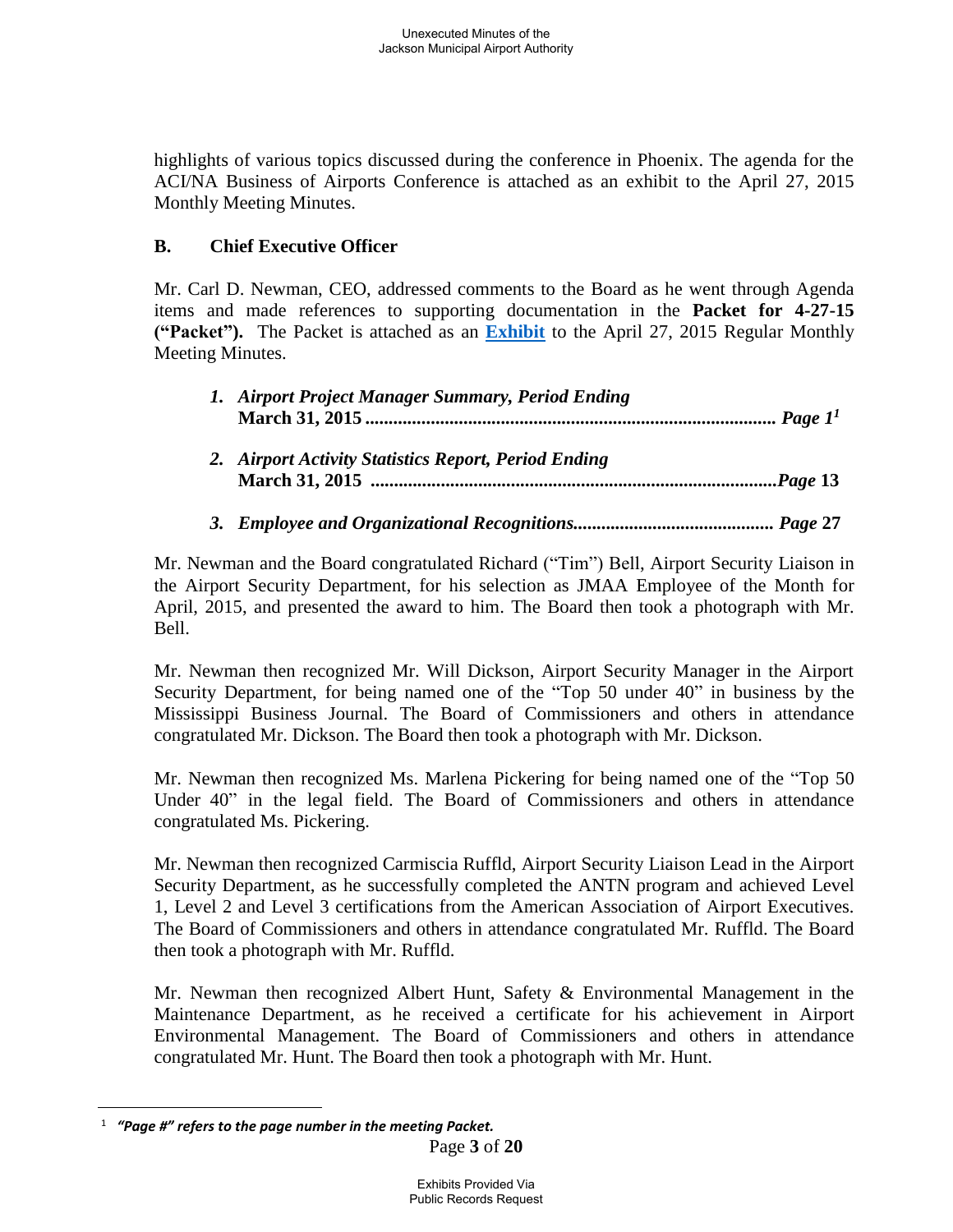highlights of various topics discussed during the conference in Phoenix. The agenda for the ACI/NA Business of Airports Conference is attached as an exhibit to the April 27, 2015 Monthly Meeting Minutes.

# **B. Chief Executive Officer**

Mr. Carl D. Newman, CEO, addressed comments to the Board as he went through Agenda items and made references to supporting documentation in the **Packet for 4-27-15 ("Packet").** The Packet is attached as an **[Exhibit](file://walker2008-1/netshare/Work/JMAA4324/BOARD%20MEETINGS/2015-02%20Board%20Meeting/Packet.pdf)** to the April 27, 2015 Regular Monthly Meeting Minutes.

| 1. Airport Project Manager Summary, Period Ending    |
|------------------------------------------------------|
| 2. Airport Activity Statistics Report, Period Ending |
|                                                      |

Mr. Newman and the Board congratulated Richard ("Tim") Bell, Airport Security Liaison in the Airport Security Department, for his selection as JMAA Employee of the Month for April, 2015, and presented the award to him. The Board then took a photograph with Mr. Bell.

Mr. Newman then recognized Mr. Will Dickson, Airport Security Manager in the Airport Security Department, for being named one of the "Top 50 under 40" in business by the Mississippi Business Journal. The Board of Commissioners and others in attendance congratulated Mr. Dickson. The Board then took a photograph with Mr. Dickson.

Mr. Newman then recognized Ms. Marlena Pickering for being named one of the "Top 50 Under 40" in the legal field. The Board of Commissioners and others in attendance congratulated Ms. Pickering.

Mr. Newman then recognized Carmiscia Ruffld, Airport Security Liaison Lead in the Airport Security Department, as he successfully completed the ANTN program and achieved Level 1, Level 2 and Level 3 certifications from the American Association of Airport Executives. The Board of Commissioners and others in attendance congratulated Mr. Ruffld. The Board then took a photograph with Mr. Ruffld.

Mr. Newman then recognized Albert Hunt, Safety & Environmental Management in the Maintenance Department, as he received a certificate for his achievement in Airport Environmental Management. The Board of Commissioners and others in attendance congratulated Mr. Hunt. The Board then took a photograph with Mr. Hunt.

 $\overline{a}$ 

<sup>1</sup>  *"Page #" refers to the page number in the meeting Packet.*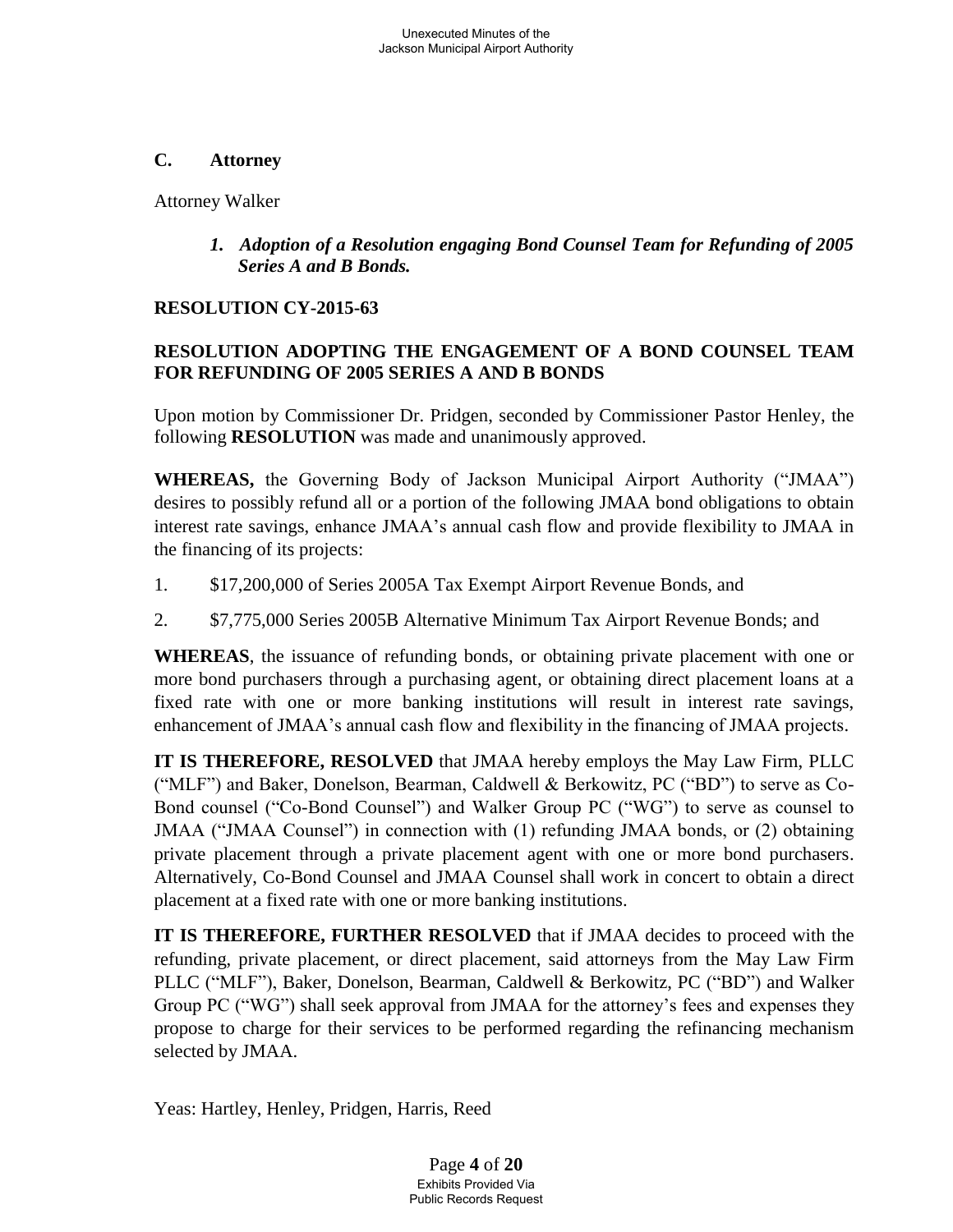### **C. Attorney**

Attorney Walker

*1. Adoption of a Resolution engaging Bond Counsel Team for Refunding of 2005 Series A and B Bonds.* 

# **RESOLUTION CY-2015-63**

# **RESOLUTION ADOPTING THE ENGAGEMENT OF A BOND COUNSEL TEAM FOR REFUNDING OF 2005 SERIES A AND B BONDS**

Upon motion by Commissioner Dr. Pridgen, seconded by Commissioner Pastor Henley, the following **RESOLUTION** was made and unanimously approved.

**WHEREAS,** the Governing Body of Jackson Municipal Airport Authority ("JMAA") desires to possibly refund all or a portion of the following JMAA bond obligations to obtain interest rate savings, enhance JMAA's annual cash flow and provide flexibility to JMAA in the financing of its projects:

- 1. \$17,200,000 of Series 2005A Tax Exempt Airport Revenue Bonds, and
- 2. \$7,775,000 Series 2005B Alternative Minimum Tax Airport Revenue Bonds; and

**WHEREAS**, the issuance of refunding bonds, or obtaining private placement with one or more bond purchasers through a purchasing agent, or obtaining direct placement loans at a fixed rate with one or more banking institutions will result in interest rate savings, enhancement of JMAA's annual cash flow and flexibility in the financing of JMAA projects.

**IT IS THEREFORE, RESOLVED** that JMAA hereby employs the May Law Firm, PLLC ("MLF") and Baker, Donelson, Bearman, Caldwell & Berkowitz, PC ("BD") to serve as Co-Bond counsel ("Co-Bond Counsel") and Walker Group PC ("WG") to serve as counsel to JMAA ("JMAA Counsel") in connection with (1) refunding JMAA bonds, or (2) obtaining private placement through a private placement agent with one or more bond purchasers. Alternatively, Co-Bond Counsel and JMAA Counsel shall work in concert to obtain a direct placement at a fixed rate with one or more banking institutions.

**IT IS THEREFORE, FURTHER RESOLVED** that if JMAA decides to proceed with the refunding, private placement, or direct placement, said attorneys from the May Law Firm PLLC ("MLF"), Baker, Donelson, Bearman, Caldwell & Berkowitz, PC ("BD") and Walker Group PC ("WG") shall seek approval from JMAA for the attorney's fees and expenses they propose to charge for their services to be performed regarding the refinancing mechanism selected by JMAA.

Yeas: Hartley, Henley, Pridgen, Harris, Reed

Page **4** of **20** Exhibits Provided Via Public Records Request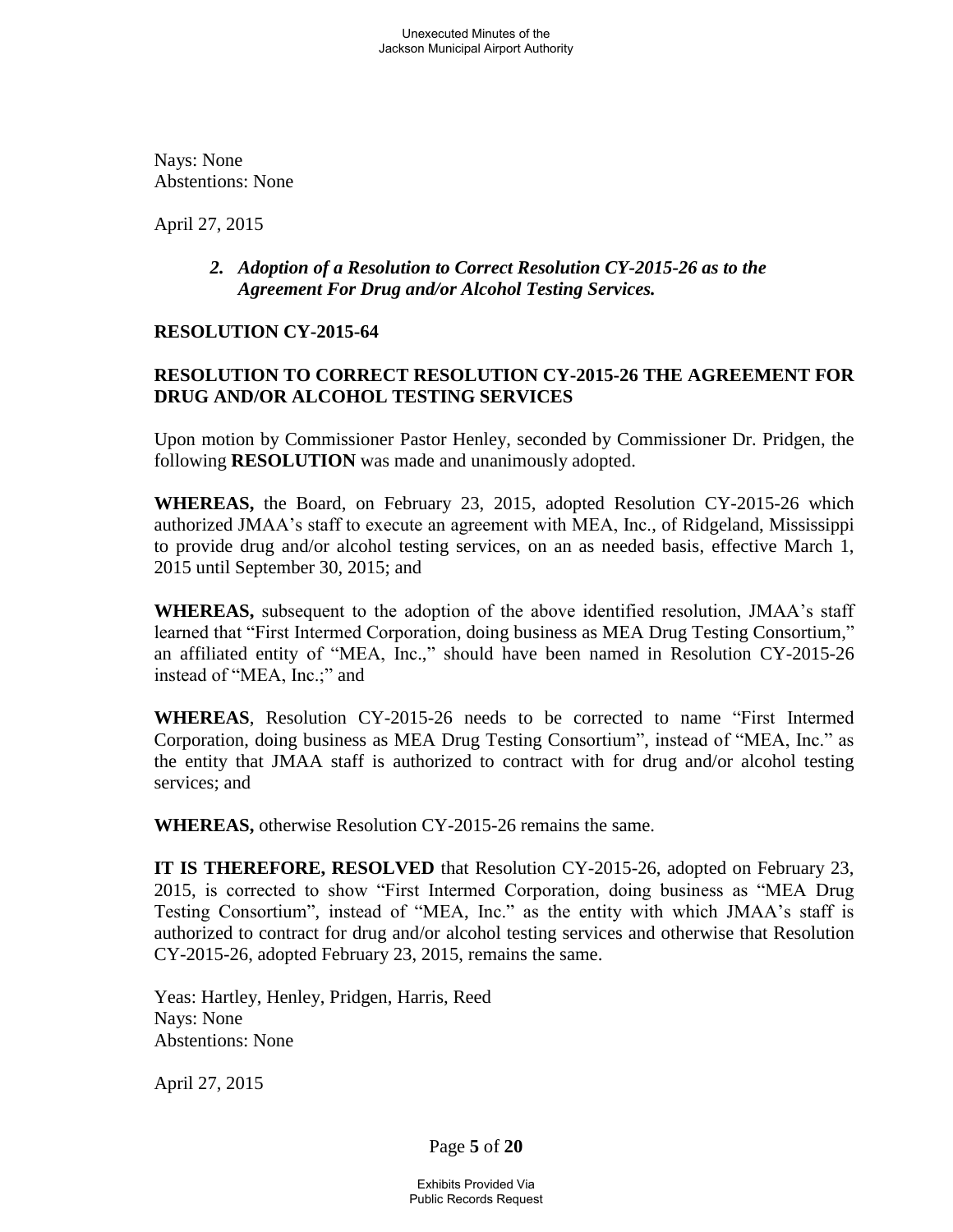Nays: None Abstentions: None

April 27, 2015

## *2.**Adoption of a Resolution to Correct Resolution CY-2015-26 as to the Agreement For Drug and/or Alcohol Testing Services.*

### **RESOLUTION CY-2015-64**

## **RESOLUTION TO CORRECT RESOLUTION CY-2015-26 THE AGREEMENT FOR DRUG AND/OR ALCOHOL TESTING SERVICES**

Upon motion by Commissioner Pastor Henley, seconded by Commissioner Dr. Pridgen, the following **RESOLUTION** was made and unanimously adopted.

**WHEREAS,** the Board, on February 23, 2015, adopted Resolution CY-2015-26 which authorized JMAA's staff to execute an agreement with MEA, Inc., of Ridgeland, Mississippi to provide drug and/or alcohol testing services, on an as needed basis, effective March 1, 2015 until September 30, 2015; and

**WHEREAS,** subsequent to the adoption of the above identified resolution, JMAA's staff learned that "First Intermed Corporation, doing business as MEA Drug Testing Consortium," an affiliated entity of "MEA, Inc.," should have been named in Resolution CY-2015-26 instead of "MEA, Inc.;" and

**WHEREAS**, Resolution CY-2015-26 needs to be corrected to name "First Intermed Corporation, doing business as MEA Drug Testing Consortium", instead of "MEA, Inc." as the entity that JMAA staff is authorized to contract with for drug and/or alcohol testing services; and

**WHEREAS,** otherwise Resolution CY-2015-26 remains the same.

**IT IS THEREFORE, RESOLVED** that Resolution CY-2015-26, adopted on February 23, 2015, is corrected to show "First Intermed Corporation, doing business as "MEA Drug Testing Consortium", instead of "MEA, Inc." as the entity with which JMAA's staff is authorized to contract for drug and/or alcohol testing services and otherwise that Resolution CY-2015-26, adopted February 23, 2015, remains the same.

Yeas: Hartley, Henley, Pridgen, Harris, Reed Nays: None Abstentions: None

April 27, 2015

Page **5** of **20**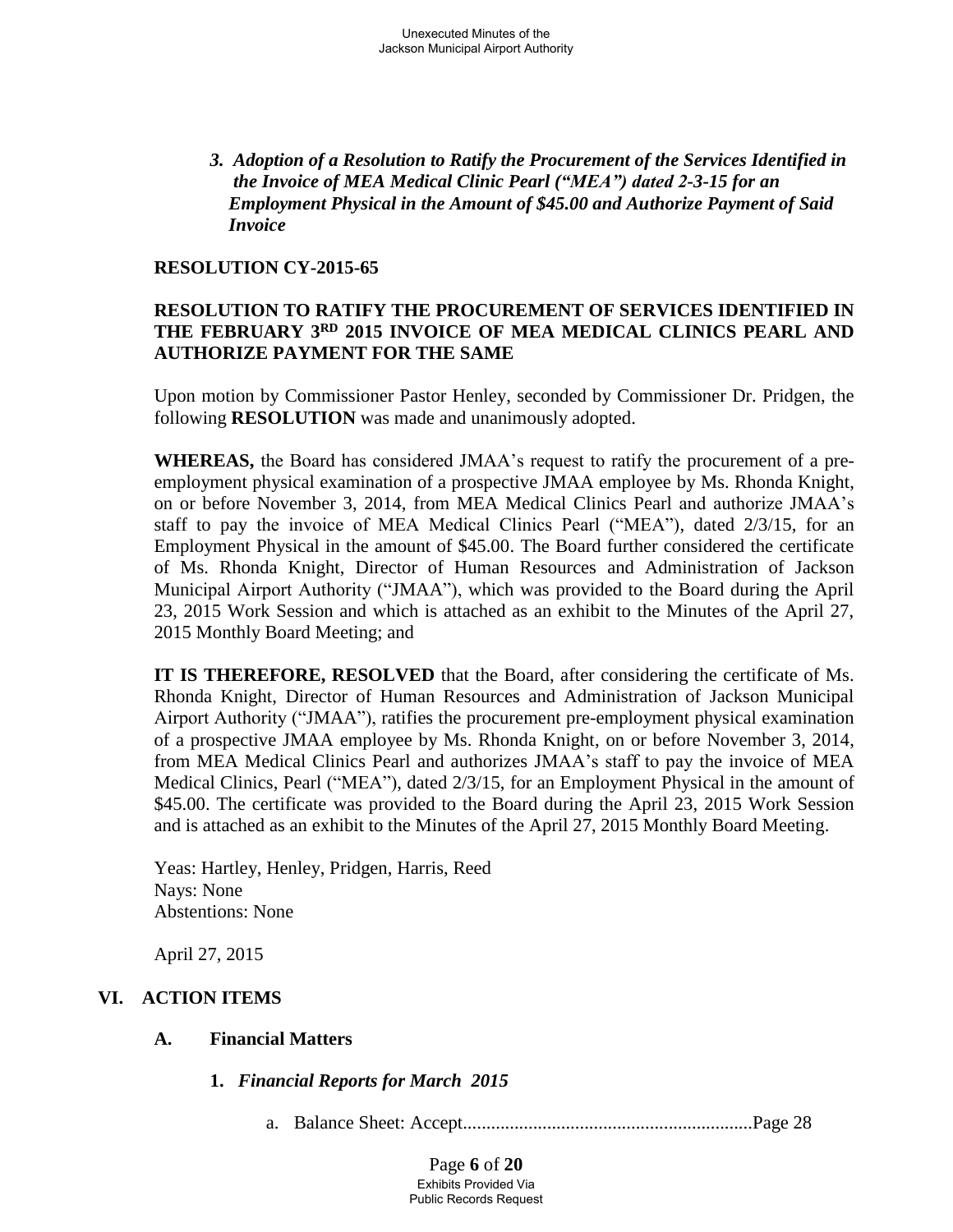*3. Adoption of a Resolution to Ratify the Procurement of the Services Identified in the Invoice of MEA Medical Clinic Pearl ("MEA") dated 2-3-15 for an Employment Physical in the Amount of \$45.00 and Authorize Payment of Said Invoice* 

### **RESOLUTION CY-2015-65**

### **RESOLUTION TO RATIFY THE PROCUREMENT OF SERVICES IDENTIFIED IN THE FEBRUARY 3RD 2015 INVOICE OF MEA MEDICAL CLINICS PEARL AND AUTHORIZE PAYMENT FOR THE SAME**

Upon motion by Commissioner Pastor Henley, seconded by Commissioner Dr. Pridgen, the following **RESOLUTION** was made and unanimously adopted.

**WHEREAS,** the Board has considered JMAA's request to ratify the procurement of a preemployment physical examination of a prospective JMAA employee by Ms. Rhonda Knight, on or before November 3, 2014, from MEA Medical Clinics Pearl and authorize JMAA's staff to pay the invoice of MEA Medical Clinics Pearl ("MEA"), dated 2/3/15, for an Employment Physical in the amount of \$45.00. The Board further considered the certificate of Ms. Rhonda Knight, Director of Human Resources and Administration of Jackson Municipal Airport Authority ("JMAA"), which was provided to the Board during the April 23, 2015 Work Session and which is attached as an exhibit to the Minutes of the April 27, 2015 Monthly Board Meeting; and

**IT IS THEREFORE, RESOLVED** that the Board, after considering the certificate of Ms. Rhonda Knight, Director of Human Resources and Administration of Jackson Municipal Airport Authority ("JMAA"), ratifies the procurement pre-employment physical examination of a prospective JMAA employee by Ms. Rhonda Knight, on or before November 3, 2014, from MEA Medical Clinics Pearl and authorizes JMAA's staff to pay the invoice of MEA Medical Clinics, Pearl ("MEA"), dated 2/3/15, for an Employment Physical in the amount of \$45.00. The certificate was provided to the Board during the April 23, 2015 Work Session and is attached as an exhibit to the Minutes of the April 27, 2015 Monthly Board Meeting.

Yeas: Hartley, Henley, Pridgen, Harris, Reed Nays: None Abstentions: None

April 27, 2015

## **VI. ACTION ITEMS**

### **A. Financial Matters**

**1.** *Financial Reports for March 2015*

a. Balance Sheet: Accept..............................................................Page 28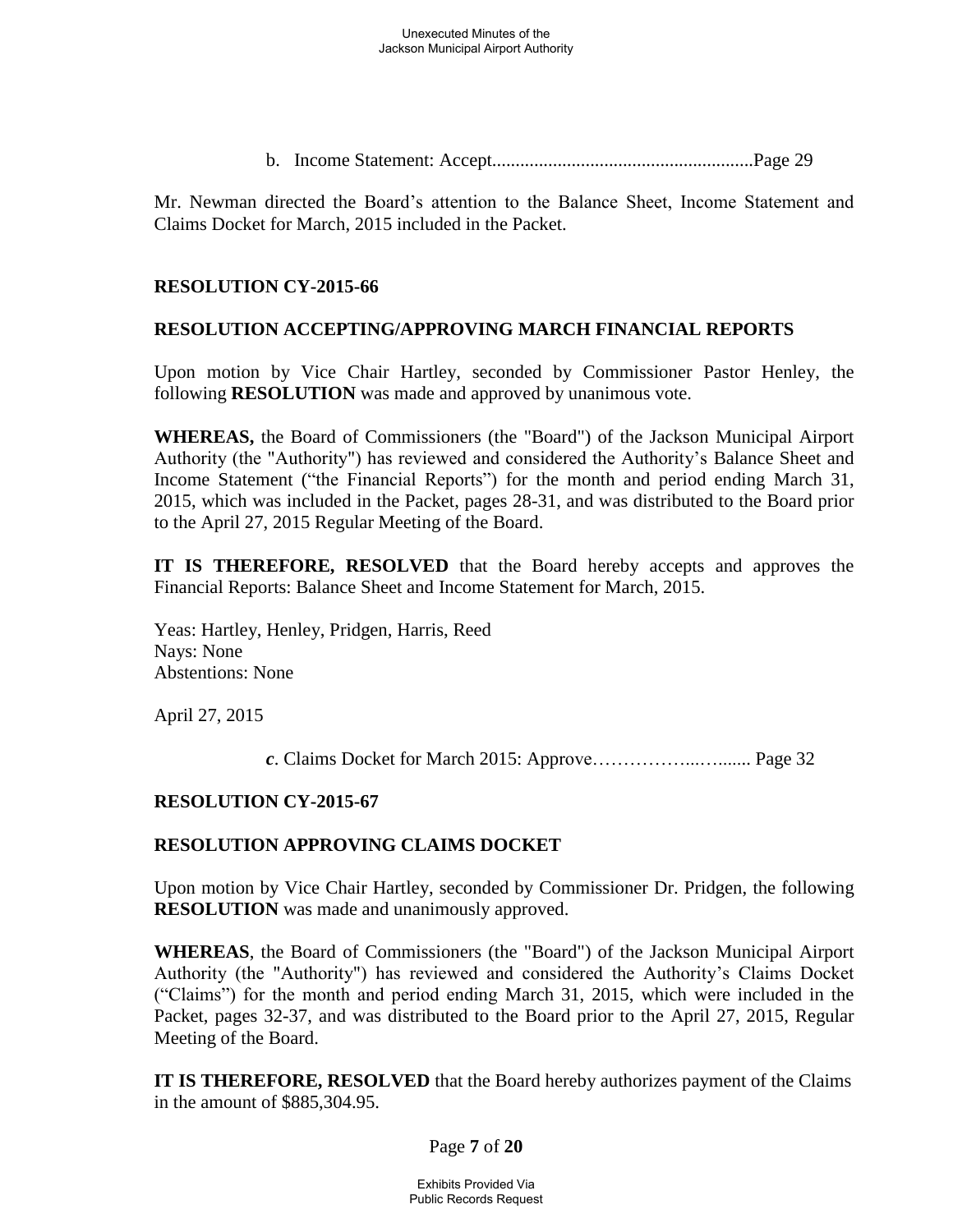b. Income Statement: Accept........................................................Page 29

Mr. Newman directed the Board's attention to the Balance Sheet, Income Statement and Claims Docket for March, 2015 included in the Packet.

## **RESOLUTION CY-2015-66**

## **RESOLUTION ACCEPTING/APPROVING MARCH FINANCIAL REPORTS**

Upon motion by Vice Chair Hartley, seconded by Commissioner Pastor Henley, the following **RESOLUTION** was made and approved by unanimous vote.

**WHEREAS,** the Board of Commissioners (the "Board") of the Jackson Municipal Airport Authority (the "Authority") has reviewed and considered the Authority's Balance Sheet and Income Statement ("the Financial Reports") for the month and period ending March 31, 2015, which was included in the Packet, pages 28-31, and was distributed to the Board prior to the April 27, 2015 Regular Meeting of the Board.

**IT IS THEREFORE, RESOLVED** that the Board hereby accepts and approves the Financial Reports: Balance Sheet and Income Statement for March, 2015.

Yeas: Hartley, Henley, Pridgen, Harris, Reed Nays: None Abstentions: None

April 27, 2015

*c*. Claims Docket for March 2015: Approve……………...…....... Page 32

### **RESOLUTION CY-2015-67**

### **RESOLUTION APPROVING CLAIMS DOCKET**

Upon motion by Vice Chair Hartley, seconded by Commissioner Dr. Pridgen, the following **RESOLUTION** was made and unanimously approved.

**WHEREAS**, the Board of Commissioners (the "Board") of the Jackson Municipal Airport Authority (the "Authority") has reviewed and considered the Authority's Claims Docket ("Claims") for the month and period ending March 31, 2015, which were included in the Packet, pages 32-37, and was distributed to the Board prior to the April 27, 2015, Regular Meeting of the Board.

**IT IS THEREFORE, RESOLVED** that the Board hereby authorizes payment of the Claims in the amount of \$885,304.95.

Page **7** of **20**

Exhibits Provided Via Public Records Request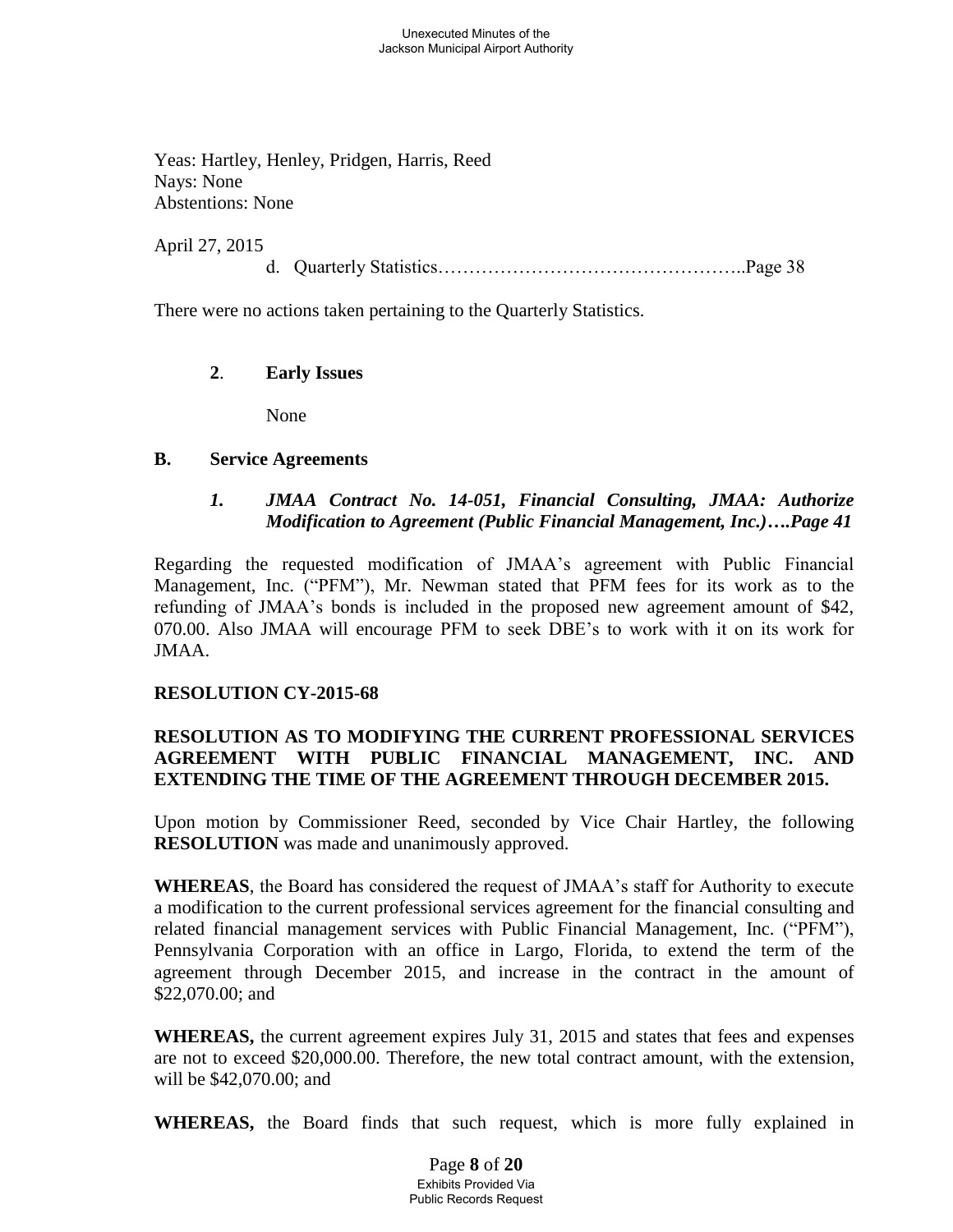Yeas: Hartley, Henley, Pridgen, Harris, Reed Nays: None Abstentions: None

April 27, 2015

d. Quarterly Statistics…………………………………………..Page 38

There were no actions taken pertaining to the Quarterly Statistics.

## **2**. **Early Issues**

None

### **B. Service Agreements**

## *1. JMAA Contract No. 14-051, Financial Consulting, JMAA: Authorize Modification to Agreement (Public Financial Management, Inc.)….Page 41*

Regarding the requested modification of JMAA's agreement with Public Financial Management, Inc. ("PFM"), Mr. Newman stated that PFM fees for its work as to the refunding of JMAA's bonds is included in the proposed new agreement amount of \$42, 070.00. Also JMAA will encourage PFM to seek DBE's to work with it on its work for JMAA.

### **RESOLUTION CY-2015-68**

## **RESOLUTION AS TO MODIFYING THE CURRENT PROFESSIONAL SERVICES AGREEMENT WITH PUBLIC FINANCIAL MANAGEMENT, INC. AND EXTENDING THE TIME OF THE AGREEMENT THROUGH DECEMBER 2015.**

Upon motion by Commissioner Reed, seconded by Vice Chair Hartley, the following **RESOLUTION** was made and unanimously approved.

**WHEREAS**, the Board has considered the request of JMAA's staff for Authority to execute a modification to the current professional services agreement for the financial consulting and related financial management services with Public Financial Management, Inc. ("PFM"), Pennsylvania Corporation with an office in Largo, Florida, to extend the term of the agreement through December 2015, and increase in the contract in the amount of \$22,070.00; and

**WHEREAS,** the current agreement expires July 31, 2015 and states that fees and expenses are not to exceed \$20,000.00. Therefore, the new total contract amount, with the extension, will be \$42,070.00; and

**WHEREAS,** the Board finds that such request, which is more fully explained in

Page **8** of **20** Exhibits Provided Via Public Records Request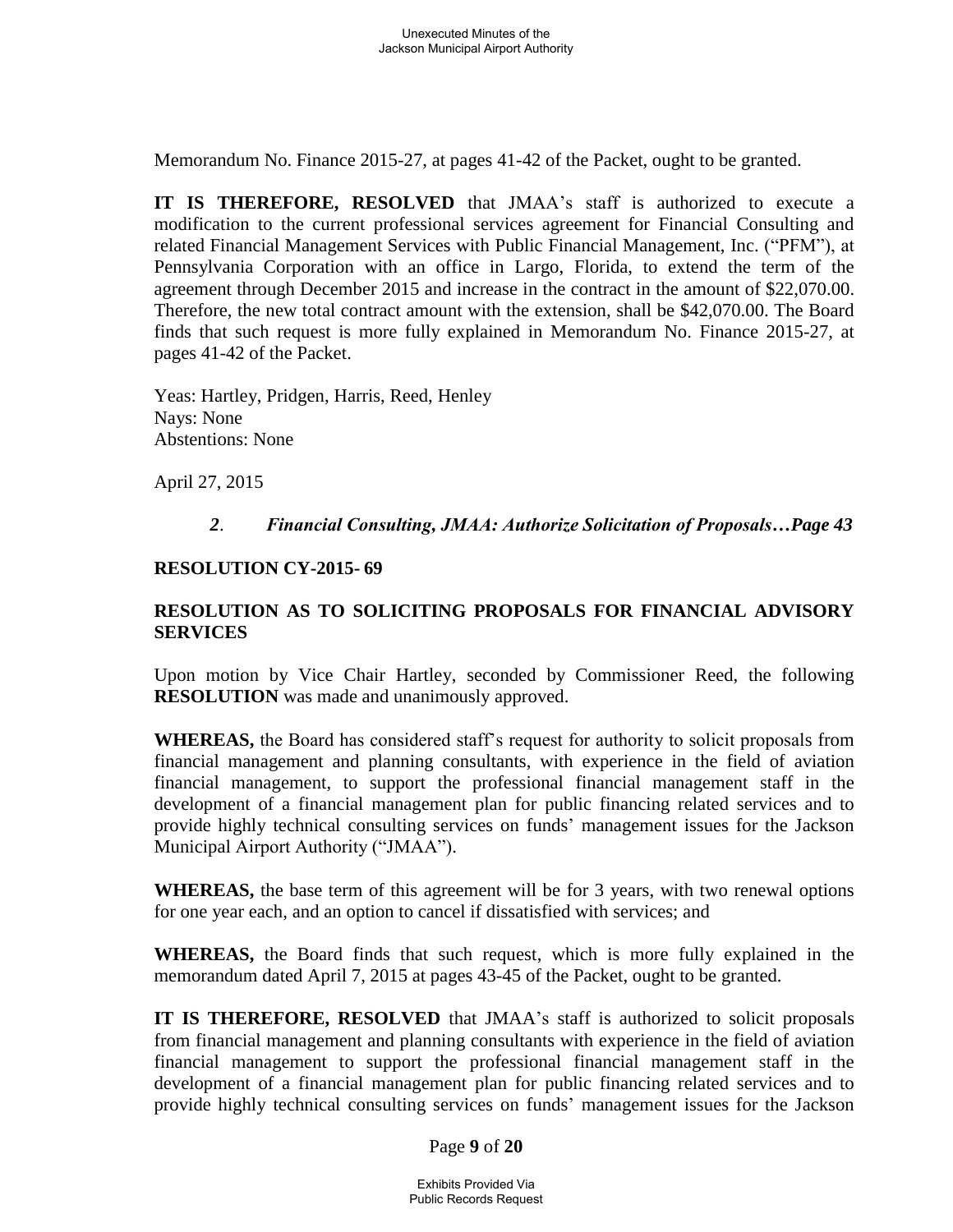Memorandum No. Finance 2015-27, at pages 41-42 of the Packet, ought to be granted.

**IT IS THEREFORE, RESOLVED** that JMAA's staff is authorized to execute a modification to the current professional services agreement for Financial Consulting and related Financial Management Services with Public Financial Management, Inc. ("PFM"), at Pennsylvania Corporation with an office in Largo, Florida, to extend the term of the agreement through December 2015 and increase in the contract in the amount of \$22,070.00. Therefore, the new total contract amount with the extension, shall be \$42,070.00. The Board finds that such request is more fully explained in Memorandum No. Finance 2015-27, at pages 41-42 of the Packet.

 Yeas: Hartley, Pridgen, Harris, Reed, Henley Nays: None Abstentions: None

April 27, 2015

### *2*. *Financial Consulting, JMAA: Authorize Solicitation of Proposals…Page 43*

### **RESOLUTION CY-2015- 69**

## **RESOLUTION AS TO SOLICITING PROPOSALS FOR FINANCIAL ADVISORY SERVICES**

Upon motion by Vice Chair Hartley, seconded by Commissioner Reed, the following **RESOLUTION** was made and unanimously approved.

**WHEREAS,** the Board has considered staff's request for authority to solicit proposals from financial management and planning consultants, with experience in the field of aviation financial management, to support the professional financial management staff in the development of a financial management plan for public financing related services and to provide highly technical consulting services on funds' management issues for the Jackson Municipal Airport Authority ("JMAA").

**WHEREAS,** the base term of this agreement will be for 3 years, with two renewal options for one year each, and an option to cancel if dissatisfied with services; and

**WHEREAS,** the Board finds that such request, which is more fully explained in the memorandum dated April 7, 2015 at pages 43-45 of the Packet, ought to be granted.

**IT IS THEREFORE, RESOLVED** that JMAA's staff is authorized to solicit proposals from financial management and planning consultants with experience in the field of aviation financial management to support the professional financial management staff in the development of a financial management plan for public financing related services and to provide highly technical consulting services on funds' management issues for the Jackson

Page **9** of **20**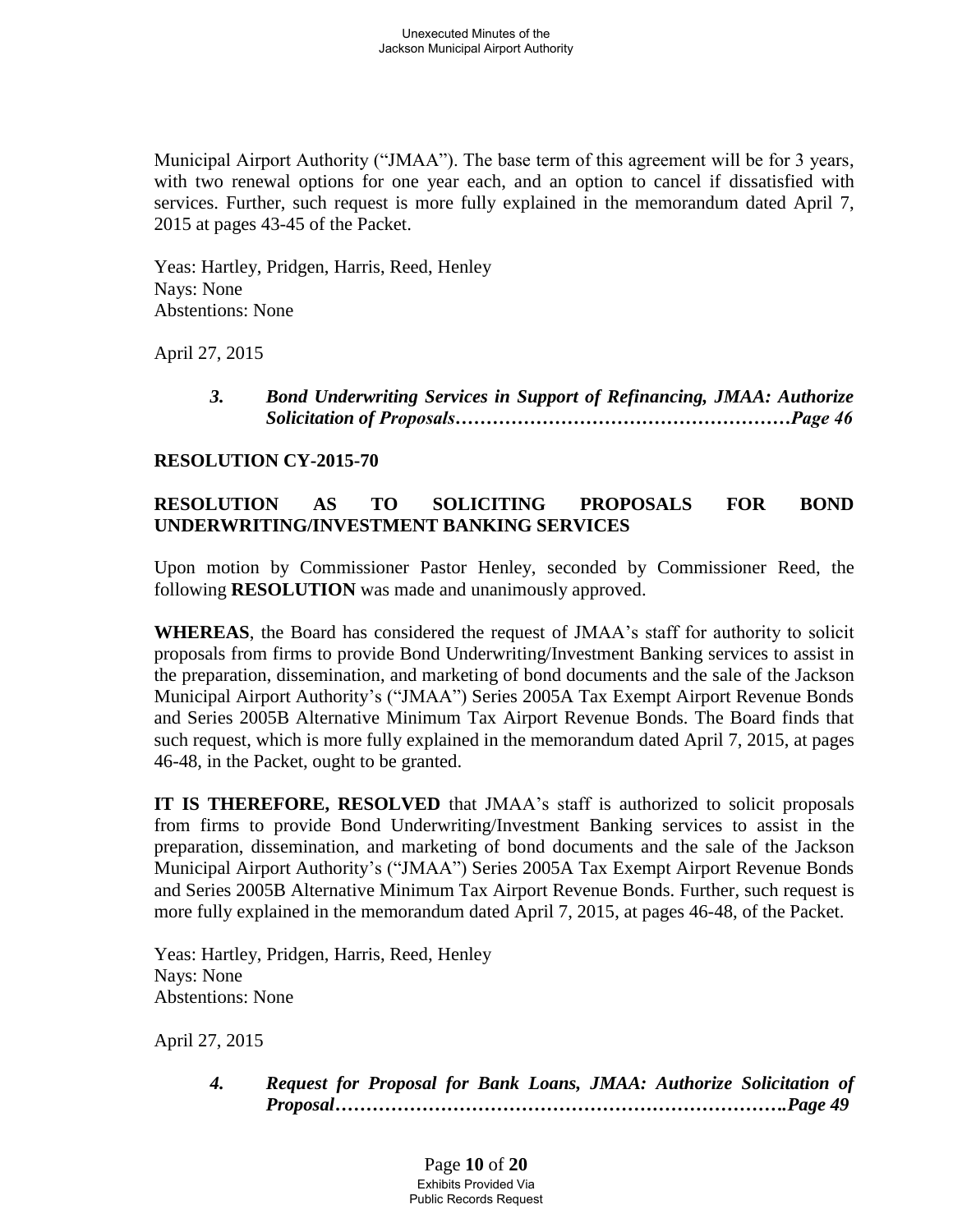Municipal Airport Authority ("JMAA"). The base term of this agreement will be for 3 years, with two renewal options for one year each, and an option to cancel if dissatisfied with services. Further, such request is more fully explained in the memorandum dated April 7, 2015 at pages 43-45 of the Packet.

Yeas: Hartley, Pridgen, Harris, Reed, Henley Nays: None Abstentions: None

April 27, 2015

*3. Bond Underwriting Services in Support of Refinancing, JMAA: Authorize Solicitation of Proposals………………………………………………Page 46*

## **RESOLUTION CY-2015-70**

# **RESOLUTION AS TO SOLICITING PROPOSALS FOR BOND UNDERWRITING/INVESTMENT BANKING SERVICES**

Upon motion by Commissioner Pastor Henley, seconded by Commissioner Reed, the following **RESOLUTION** was made and unanimously approved.

**WHEREAS**, the Board has considered the request of JMAA's staff for authority to solicit proposals from firms to provide Bond Underwriting/Investment Banking services to assist in the preparation, dissemination, and marketing of bond documents and the sale of the Jackson Municipal Airport Authority's ("JMAA") Series 2005A Tax Exempt Airport Revenue Bonds and Series 2005B Alternative Minimum Tax Airport Revenue Bonds. The Board finds that such request, which is more fully explained in the memorandum dated April 7, 2015, at pages 46-48, in the Packet, ought to be granted.

**IT IS THEREFORE, RESOLVED** that JMAA's staff is authorized to solicit proposals from firms to provide Bond Underwriting/Investment Banking services to assist in the preparation, dissemination, and marketing of bond documents and the sale of the Jackson Municipal Airport Authority's ("JMAA") Series 2005A Tax Exempt Airport Revenue Bonds and Series 2005B Alternative Minimum Tax Airport Revenue Bonds. Further, such request is more fully explained in the memorandum dated April 7, 2015, at pages 46-48, of the Packet.

Yeas: Hartley, Pridgen, Harris, Reed, Henley Nays: None Abstentions: None

April 27, 2015

*4. Request for Proposal for Bank Loans, JMAA: Authorize Solicitation of Proposal……………………………………………………………….Page 49*

> Page **10** of **20** Exhibits Provided Via Public Records Request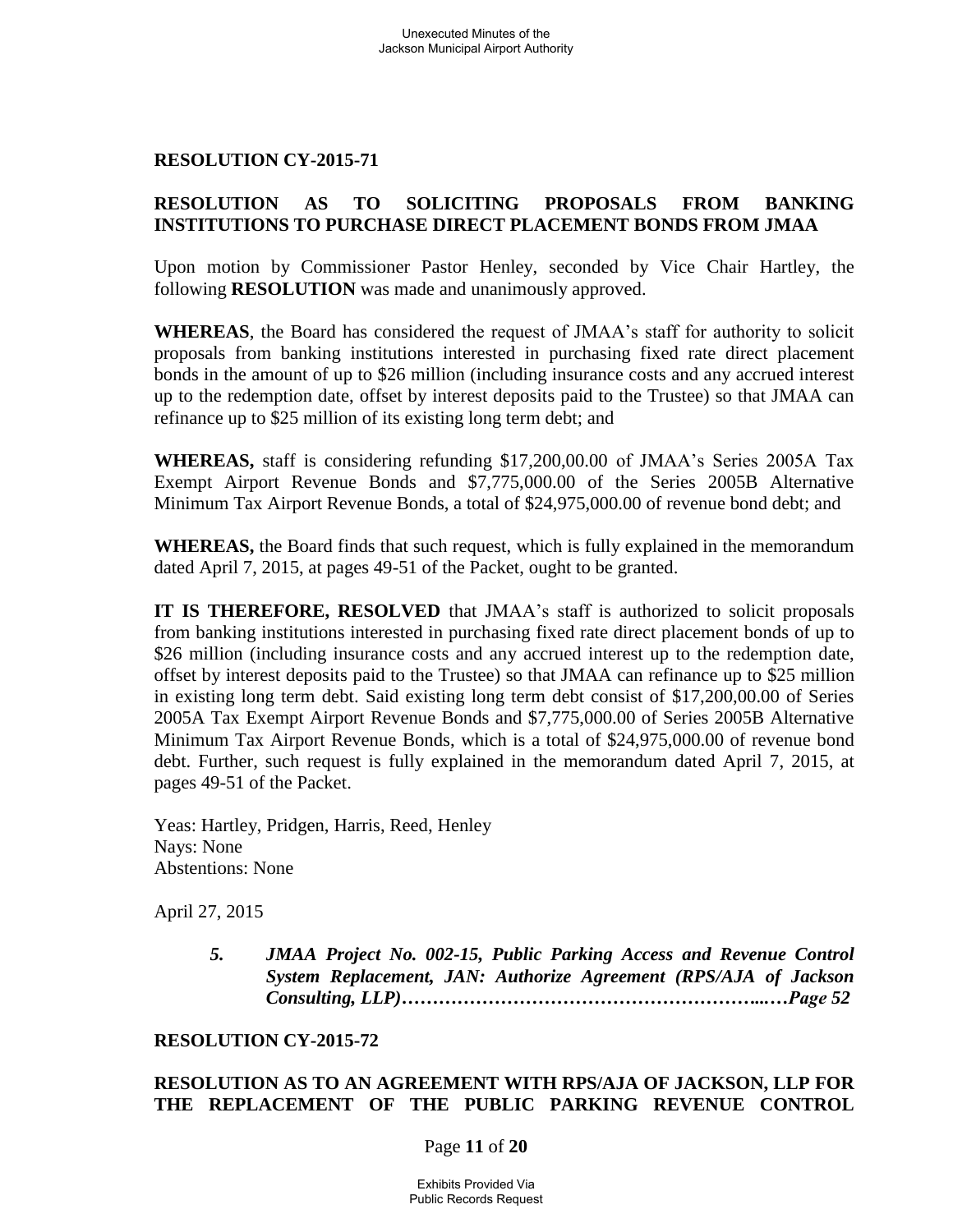### **RESOLUTION CY-2015-71**

### **RESOLUTION AS TO SOLICITING PROPOSALS FROM BANKING INSTITUTIONS TO PURCHASE DIRECT PLACEMENT BONDS FROM JMAA**

Upon motion by Commissioner Pastor Henley, seconded by Vice Chair Hartley, the following **RESOLUTION** was made and unanimously approved.

**WHEREAS**, the Board has considered the request of JMAA's staff for authority to solicit proposals from banking institutions interested in purchasing fixed rate direct placement bonds in the amount of up to \$26 million (including insurance costs and any accrued interest up to the redemption date, offset by interest deposits paid to the Trustee) so that JMAA can refinance up to \$25 million of its existing long term debt; and

**WHEREAS,** staff is considering refunding \$17,200,00.00 of JMAA's Series 2005A Tax Exempt Airport Revenue Bonds and \$7,775,000.00 of the Series 2005B Alternative Minimum Tax Airport Revenue Bonds, a total of \$24,975,000.00 of revenue bond debt; and

**WHEREAS,** the Board finds that such request, which is fully explained in the memorandum dated April 7, 2015, at pages 49-51 of the Packet, ought to be granted.

**IT IS THEREFORE, RESOLVED** that JMAA's staff is authorized to solicit proposals from banking institutions interested in purchasing fixed rate direct placement bonds of up to \$26 million (including insurance costs and any accrued interest up to the redemption date, offset by interest deposits paid to the Trustee) so that JMAA can refinance up to \$25 million in existing long term debt. Said existing long term debt consist of \$17,200,00.00 of Series 2005A Tax Exempt Airport Revenue Bonds and \$7,775,000.00 of Series 2005B Alternative Minimum Tax Airport Revenue Bonds, which is a total of \$24,975,000.00 of revenue bond debt. Further, such request is fully explained in the memorandum dated April 7, 2015, at pages 49-51 of the Packet.

Yeas: Hartley, Pridgen, Harris, Reed, Henley Nays: None Abstentions: None

April 27, 2015

*5. JMAA Project No. 002-15, Public Parking Access and Revenue Control System Replacement, JAN: Authorize Agreement (RPS/AJA of Jackson Consulting, LLP)…………………………………………………...…Page 52*

#### **RESOLUTION CY-2015-72**

### **RESOLUTION AS TO AN AGREEMENT WITH RPS/AJA OF JACKSON, LLP FOR THE REPLACEMENT OF THE PUBLIC PARKING REVENUE CONTROL**

#### Page **11** of **20**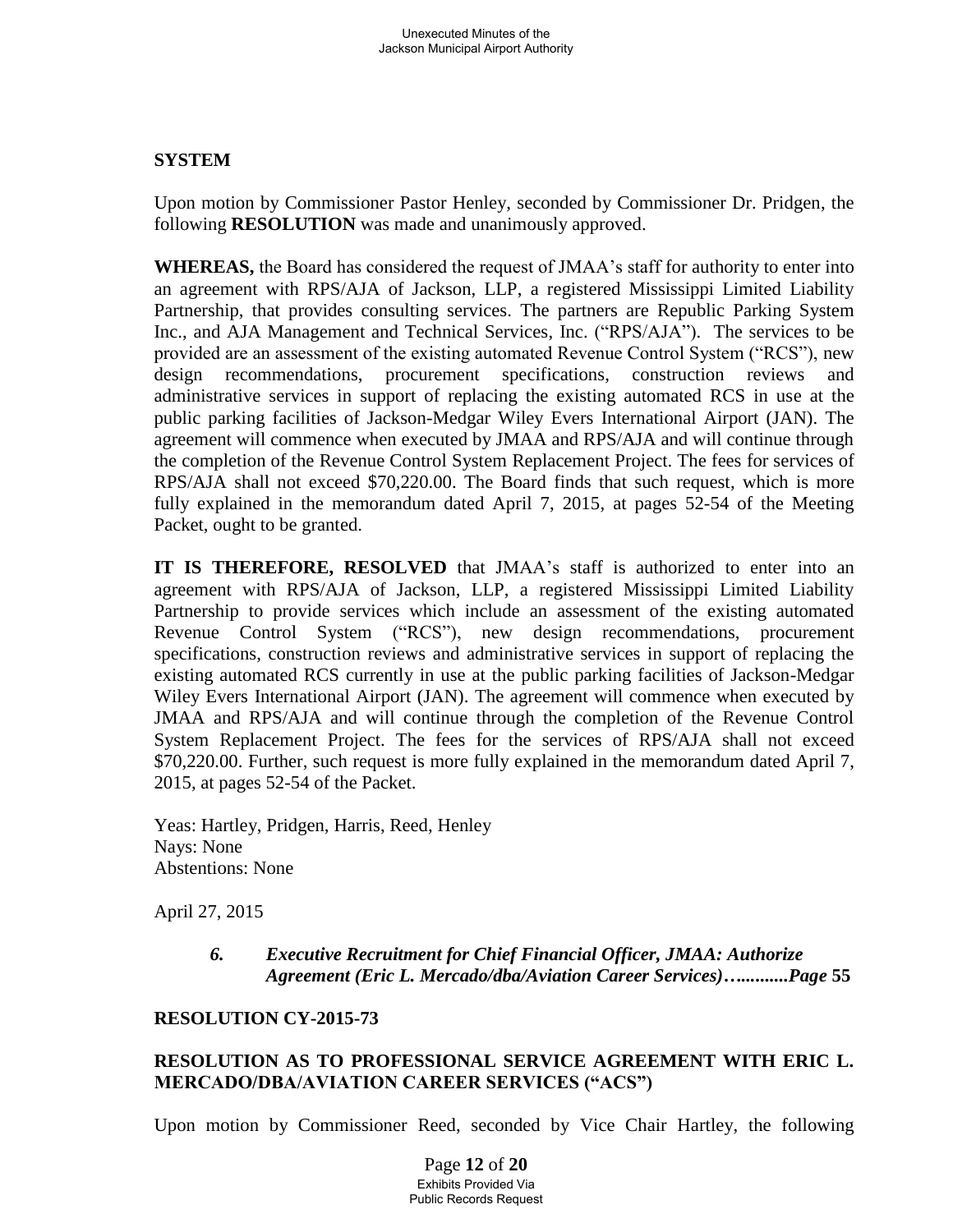# **SYSTEM**

Upon motion by Commissioner Pastor Henley, seconded by Commissioner Dr. Pridgen, the following **RESOLUTION** was made and unanimously approved.

**WHEREAS,** the Board has considered the request of JMAA's staff for authority to enter into an agreement with RPS/AJA of Jackson, LLP, a registered Mississippi Limited Liability Partnership, that provides consulting services. The partners are Republic Parking System Inc., and AJA Management and Technical Services, Inc. ("RPS/AJA"). The services to be provided are an assessment of the existing automated Revenue Control System ("RCS"), new design recommendations, procurement specifications, construction reviews and administrative services in support of replacing the existing automated RCS in use at the public parking facilities of Jackson-Medgar Wiley Evers International Airport (JAN). The agreement will commence when executed by JMAA and RPS/AJA and will continue through the completion of the Revenue Control System Replacement Project. The fees for services of RPS/AJA shall not exceed \$70,220.00. The Board finds that such request, which is more fully explained in the memorandum dated April 7, 2015, at pages 52-54 of the Meeting Packet, ought to be granted.

**IT IS THEREFORE, RESOLVED** that JMAA's staff is authorized to enter into an agreement with RPS/AJA of Jackson, LLP, a registered Mississippi Limited Liability Partnership to provide services which include an assessment of the existing automated Revenue Control System ("RCS"), new design recommendations, procurement specifications, construction reviews and administrative services in support of replacing the existing automated RCS currently in use at the public parking facilities of Jackson-Medgar Wiley Evers International Airport (JAN). The agreement will commence when executed by JMAA and RPS/AJA and will continue through the completion of the Revenue Control System Replacement Project. The fees for the services of RPS/AJA shall not exceed \$70,220.00. Further, such request is more fully explained in the memorandum dated April 7, 2015, at pages 52-54 of the Packet.

Yeas: Hartley, Pridgen, Harris, Reed, Henley Nays: None Abstentions: None

April 27, 2015

*6. Executive Recruitment for Chief Financial Officer, JMAA: Authorize Agreement (Eric L. Mercado/dba/Aviation Career Services)…..........Page* **55**

## **RESOLUTION CY-2015-73**

## **RESOLUTION AS TO PROFESSIONAL SERVICE AGREEMENT WITH ERIC L. MERCADO/DBA/AVIATION CAREER SERVICES ("ACS")**

Upon motion by Commissioner Reed, seconded by Vice Chair Hartley, the following

Page **12** of **20** Exhibits Provided Via Public Records Request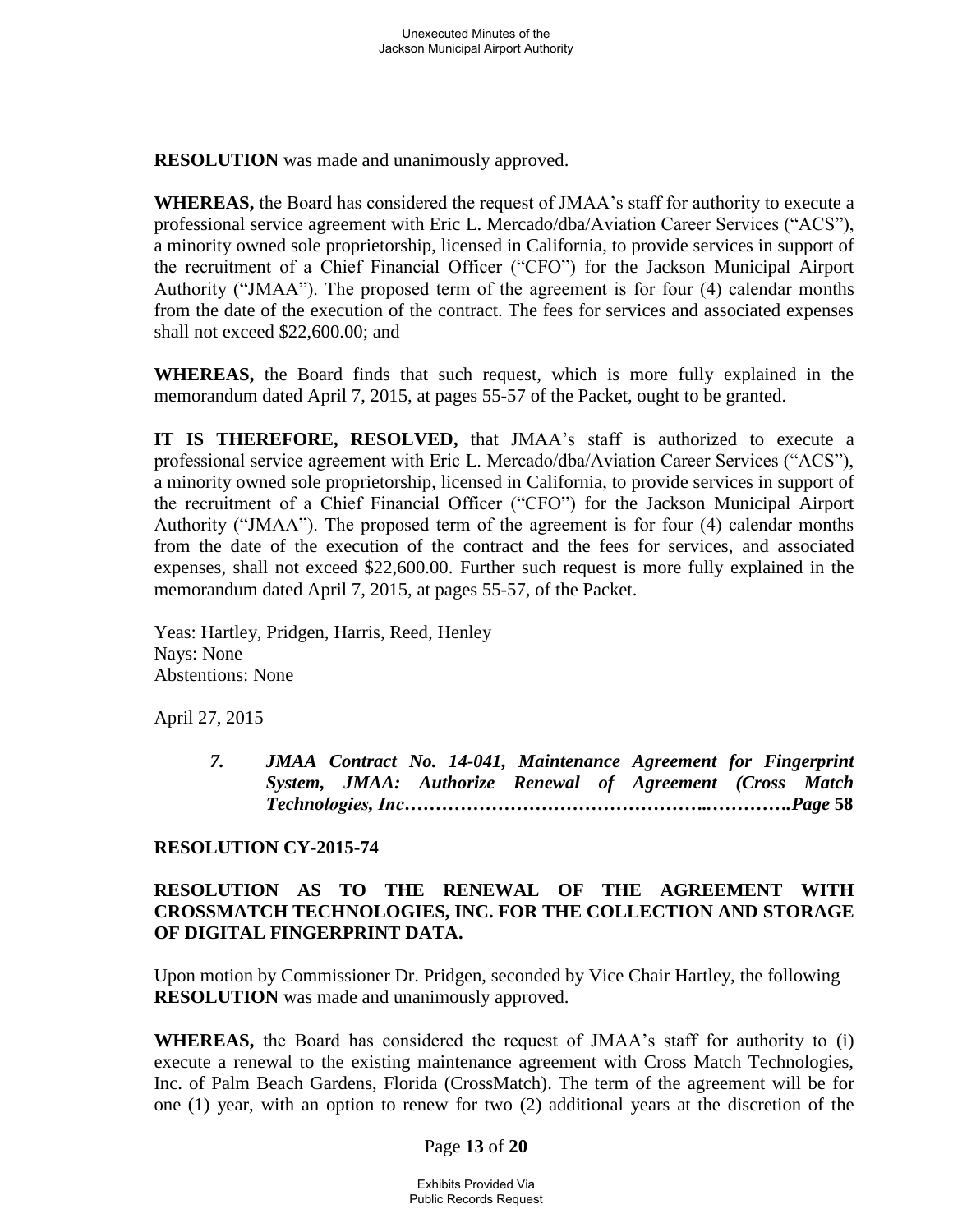**RESOLUTION** was made and unanimously approved.

**WHEREAS,** the Board has considered the request of JMAA's staff for authority to execute a professional service agreement with Eric L. Mercado/dba/Aviation Career Services ("ACS"), a minority owned sole proprietorship, licensed in California, to provide services in support of the recruitment of a Chief Financial Officer ("CFO") for the Jackson Municipal Airport Authority ("JMAA"). The proposed term of the agreement is for four (4) calendar months from the date of the execution of the contract. The fees for services and associated expenses shall not exceed \$22,600.00; and

**WHEREAS,** the Board finds that such request, which is more fully explained in the memorandum dated April 7, 2015, at pages 55-57 of the Packet, ought to be granted.

**IT IS THEREFORE, RESOLVED,** that JMAA's staff is authorized to execute a professional service agreement with Eric L. Mercado/dba/Aviation Career Services ("ACS"), a minority owned sole proprietorship, licensed in California, to provide services in support of the recruitment of a Chief Financial Officer ("CFO") for the Jackson Municipal Airport Authority ("JMAA"). The proposed term of the agreement is for four (4) calendar months from the date of the execution of the contract and the fees for services, and associated expenses, shall not exceed \$22,600.00. Further such request is more fully explained in the memorandum dated April 7, 2015, at pages 55-57, of the Packet.

Yeas: Hartley, Pridgen, Harris, Reed, Henley Nays: None Abstentions: None

April 27, 2015

*7. JMAA Contract No. 14-041, Maintenance Agreement for Fingerprint System, JMAA: Authorize Renewal of Agreement (Cross Match Technologies, Inc…………………………………………..………….Page* **58** 

## **RESOLUTION CY-2015-74**

# **RESOLUTION AS TO THE RENEWAL OF THE AGREEMENT WITH CROSSMATCH TECHNOLOGIES, INC. FOR THE COLLECTION AND STORAGE OF DIGITAL FINGERPRINT DATA.**

Upon motion by Commissioner Dr. Pridgen, seconded by Vice Chair Hartley, the following **RESOLUTION** was made and unanimously approved.

**WHEREAS,** the Board has considered the request of JMAA's staff for authority to (i) execute a renewal to the existing maintenance agreement with Cross Match Technologies, Inc. of Palm Beach Gardens, Florida (CrossMatch). The term of the agreement will be for one (1) year, with an option to renew for two (2) additional years at the discretion of the

### Page **13** of **20**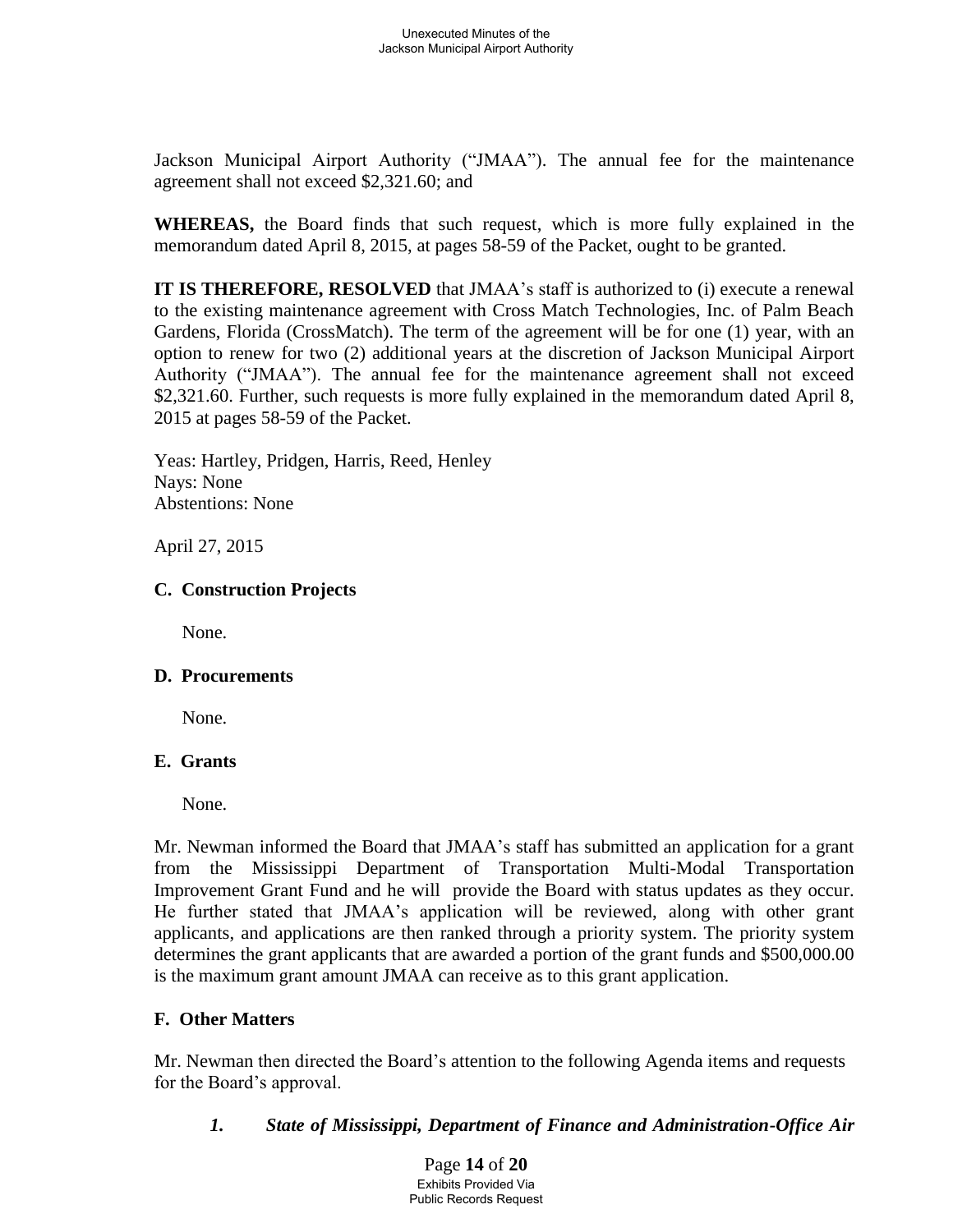Jackson Municipal Airport Authority ("JMAA"). The annual fee for the maintenance agreement shall not exceed \$2,321.60; and

**WHEREAS,** the Board finds that such request, which is more fully explained in the memorandum dated April 8, 2015, at pages 58-59 of the Packet, ought to be granted.

**IT IS THEREFORE, RESOLVED** that JMAA's staff is authorized to (i) execute a renewal to the existing maintenance agreement with Cross Match Technologies, Inc. of Palm Beach Gardens, Florida (CrossMatch). The term of the agreement will be for one (1) year, with an option to renew for two (2) additional years at the discretion of Jackson Municipal Airport Authority ("JMAA"). The annual fee for the maintenance agreement shall not exceed \$2,321.60. Further, such requests is more fully explained in the memorandum dated April 8, 2015 at pages 58-59 of the Packet.

 Yeas: Hartley, Pridgen, Harris, Reed, Henley Nays: None Abstentions: None

April 27, 2015

# **C. Construction Projects**

None.

## **D. Procurements**

None.

## **E. Grants**

None.

Mr. Newman informed the Board that JMAA's staff has submitted an application for a grant from the Mississippi Department of Transportation Multi-Modal Transportation Improvement Grant Fund and he will provide the Board with status updates as they occur. He further stated that JMAA's application will be reviewed, along with other grant applicants, and applications are then ranked through a priority system. The priority system determines the grant applicants that are awarded a portion of the grant funds and \$500,000.00 is the maximum grant amount JMAA can receive as to this grant application.

# **F. Other Matters**

Mr. Newman then directed the Board's attention to the following Agenda items and requests for the Board's approval.

 *1. State of Mississippi, Department of Finance and Administration-Office Air*

Page **14** of **20** Exhibits Provided Via Public Records Request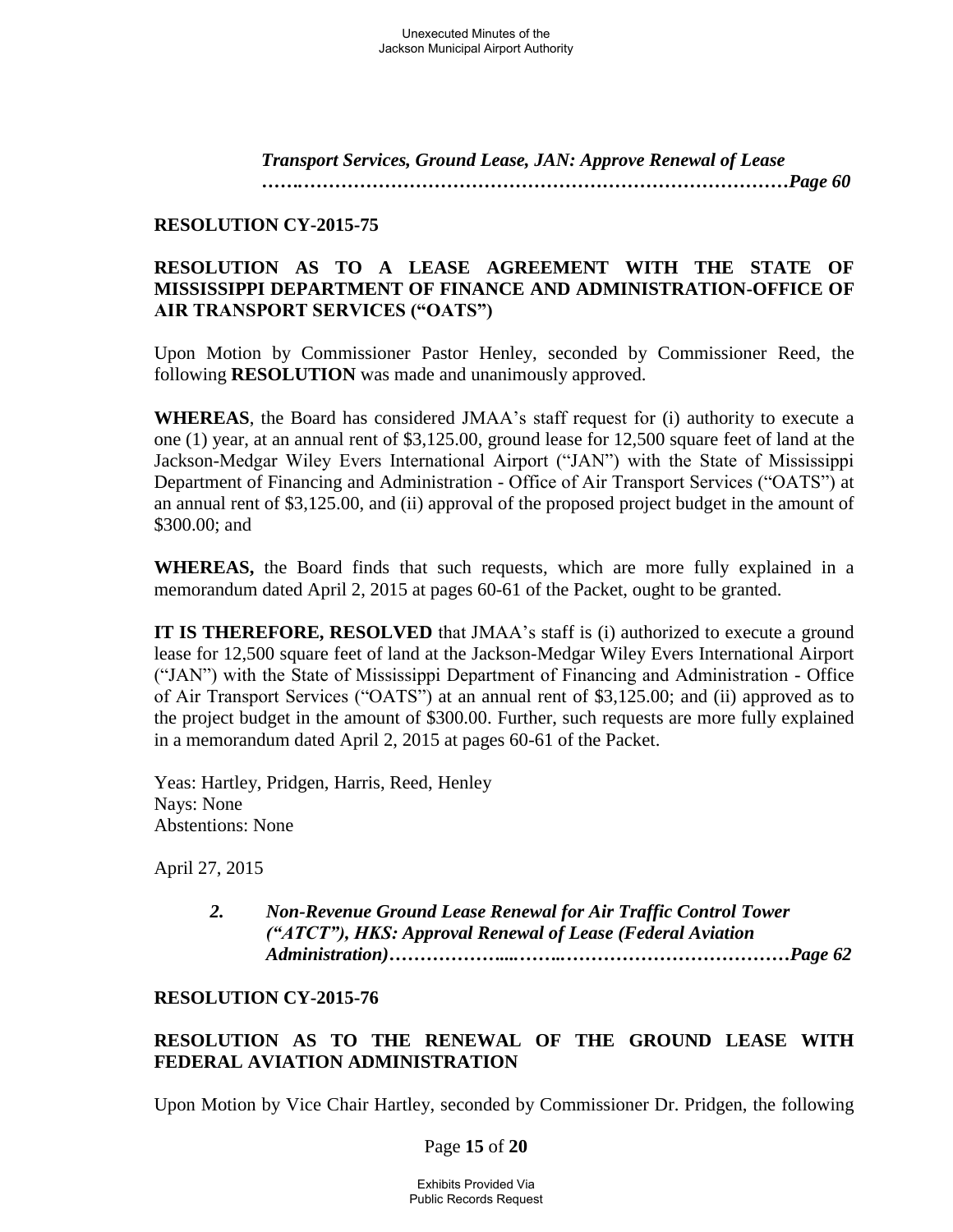*Transport Services, Ground Lease, JAN: Approve Renewal of Lease …….……………………………………………………………………Page 60* 

### **RESOLUTION CY-2015-75**

## **RESOLUTION AS TO A LEASE AGREEMENT WITH THE STATE OF MISSISSIPPI DEPARTMENT OF FINANCE AND ADMINISTRATION-OFFICE OF AIR TRANSPORT SERVICES ("OATS")**

Upon Motion by Commissioner Pastor Henley, seconded by Commissioner Reed, the following **RESOLUTION** was made and unanimously approved.

**WHEREAS**, the Board has considered JMAA's staff request for (i) authority to execute a one (1) year, at an annual rent of \$3,125.00, ground lease for 12,500 square feet of land at the Jackson-Medgar Wiley Evers International Airport ("JAN") with the State of Mississippi Department of Financing and Administration - Office of Air Transport Services ("OATS") at an annual rent of \$3,125.00, and (ii) approval of the proposed project budget in the amount of \$300.00; and

**WHEREAS,** the Board finds that such requests, which are more fully explained in a memorandum dated April 2, 2015 at pages 60-61 of the Packet, ought to be granted.

**IT IS THEREFORE, RESOLVED** that JMAA's staff is (i) authorized to execute a ground lease for 12,500 square feet of land at the Jackson-Medgar Wiley Evers International Airport ("JAN") with the State of Mississippi Department of Financing and Administration - Office of Air Transport Services ("OATS") at an annual rent of \$3,125.00; and (ii) approved as to the project budget in the amount of \$300.00. Further, such requests are more fully explained in a memorandum dated April 2, 2015 at pages 60-61 of the Packet.

Yeas: Hartley, Pridgen, Harris, Reed, Henley Nays: None Abstentions: None

April 27, 2015

*2. Non-Revenue Ground Lease Renewal for Air Traffic Control Tower ("ATCT"), HKS: Approval Renewal of Lease (Federal Aviation Administration)………………....……..………………………………Page 62* 

### **RESOLUTION CY-2015-76**

# **RESOLUTION AS TO THE RENEWAL OF THE GROUND LEASE WITH FEDERAL AVIATION ADMINISTRATION**

Upon Motion by Vice Chair Hartley, seconded by Commissioner Dr. Pridgen, the following

### Page **15** of **20**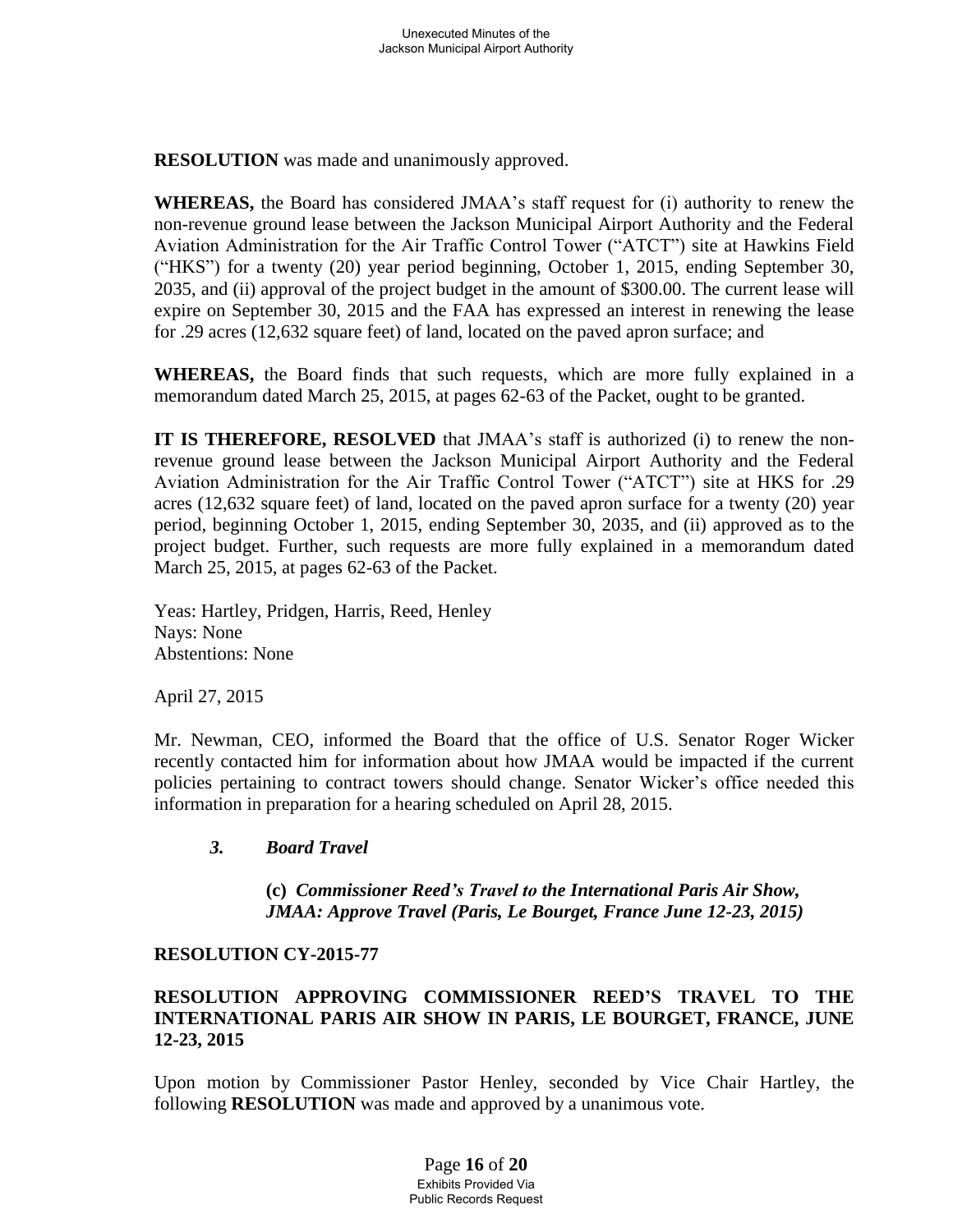**RESOLUTION** was made and unanimously approved.

**WHEREAS,** the Board has considered JMAA's staff request for (i) authority to renew the non-revenue ground lease between the Jackson Municipal Airport Authority and the Federal Aviation Administration for the Air Traffic Control Tower ("ATCT") site at Hawkins Field ("HKS") for a twenty (20) year period beginning, October 1, 2015, ending September 30, 2035, and (ii) approval of the project budget in the amount of \$300.00. The current lease will expire on September 30, 2015 and the FAA has expressed an interest in renewing the lease for .29 acres (12,632 square feet) of land, located on the paved apron surface; and

**WHEREAS,** the Board finds that such requests, which are more fully explained in a memorandum dated March 25, 2015, at pages 62-63 of the Packet, ought to be granted.

**IT IS THEREFORE, RESOLVED** that JMAA's staff is authorized (i) to renew the nonrevenue ground lease between the Jackson Municipal Airport Authority and the Federal Aviation Administration for the Air Traffic Control Tower ("ATCT") site at HKS for .29 acres (12,632 square feet) of land, located on the paved apron surface for a twenty (20) year period, beginning October 1, 2015, ending September 30, 2035, and (ii) approved as to the project budget. Further, such requests are more fully explained in a memorandum dated March 25, 2015, at pages 62-63 of the Packet.

Yeas: Hartley, Pridgen, Harris, Reed, Henley Nays: None Abstentions: None

April 27, 2015

Mr. Newman, CEO, informed the Board that the office of U.S. Senator Roger Wicker recently contacted him for information about how JMAA would be impacted if the current policies pertaining to contract towers should change. Senator Wicker's office needed this information in preparation for a hearing scheduled on April 28, 2015.

## *3. Board Travel*

**(c)** *Commissioner Reed's Travel to the International Paris Air Show, JMAA: Approve Travel (Paris, Le Bourget, France June 12-23, 2015)* 

### **RESOLUTION CY-2015-77**

## **RESOLUTION APPROVING COMMISSIONER REED'S TRAVEL TO THE INTERNATIONAL PARIS AIR SHOW IN PARIS, LE BOURGET, FRANCE, JUNE 12-23, 2015**

Upon motion by Commissioner Pastor Henley, seconded by Vice Chair Hartley, the following **RESOLUTION** was made and approved by a unanimous vote.

> Page **16** of **20** Exhibits Provided Via Public Records Request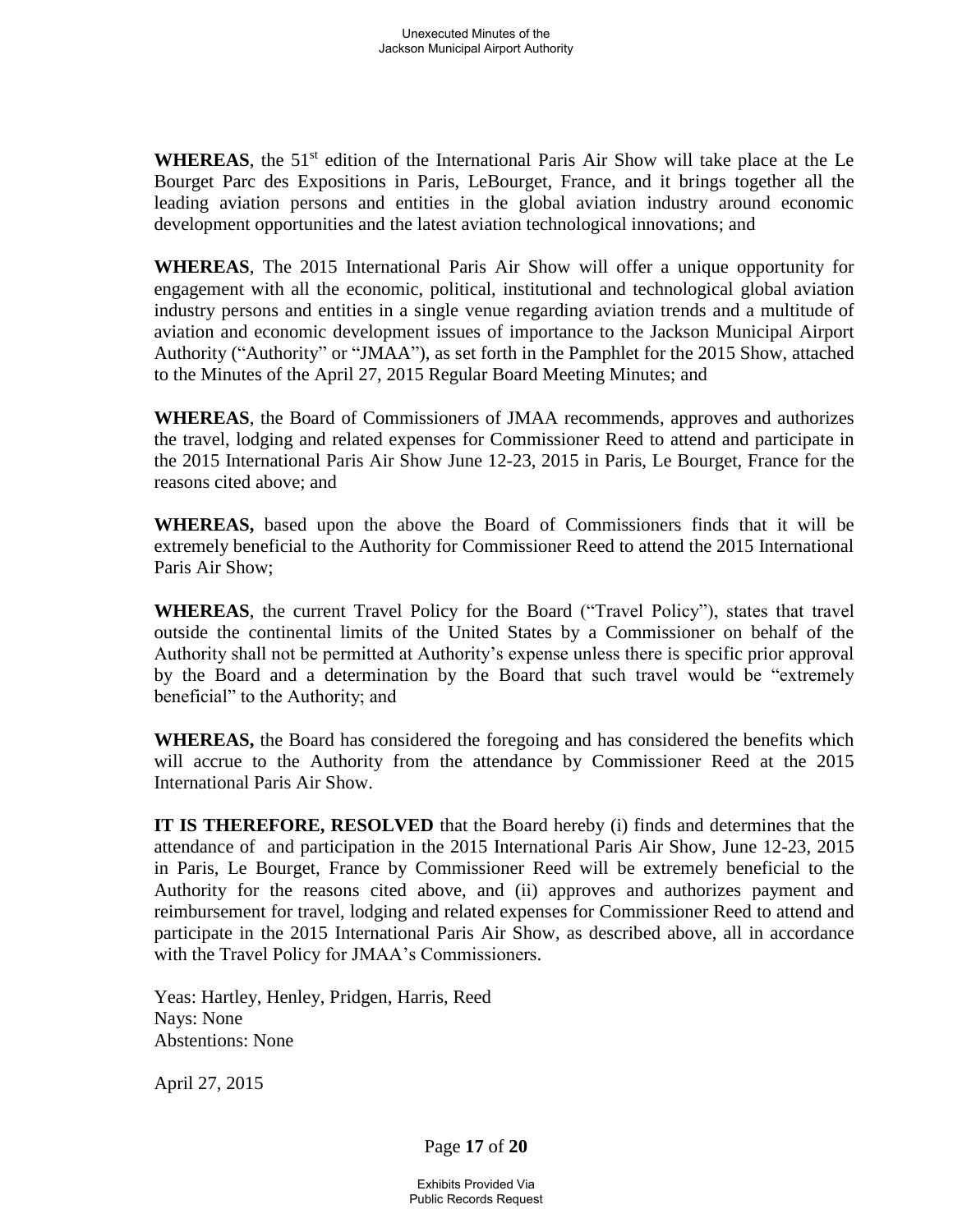WHEREAS, the 51<sup>st</sup> edition of the International Paris Air Show will take place at the Le Bourget Parc des Expositions in Paris, LeBourget, France, and it brings together all the leading aviation persons and entities in the global aviation industry around economic development opportunities and the latest aviation technological innovations; and

**WHEREAS**, The 2015 International Paris Air Show will offer a unique opportunity for engagement with all the economic, political, institutional and technological global aviation industry persons and entities in a single venue regarding aviation trends and a multitude of aviation and economic development issues of importance to the Jackson Municipal Airport Authority ("Authority" or "JMAA"), as set forth in the Pamphlet for the 2015 Show, attached to the Minutes of the April 27, 2015 Regular Board Meeting Minutes; and

**WHEREAS**, the Board of Commissioners of JMAA recommends, approves and authorizes the travel, lodging and related expenses for Commissioner Reed to attend and participate in the 2015 International Paris Air Show June 12-23, 2015 in Paris, Le Bourget, France for the reasons cited above; and

**WHEREAS,** based upon the above the Board of Commissioners finds that it will be extremely beneficial to the Authority for Commissioner Reed to attend the 2015 International Paris Air Show;

**WHEREAS**, the current Travel Policy for the Board ("Travel Policy"), states that travel outside the continental limits of the United States by a Commissioner on behalf of the Authority shall not be permitted at Authority's expense unless there is specific prior approval by the Board and a determination by the Board that such travel would be "extremely beneficial" to the Authority; and

**WHEREAS,** the Board has considered the foregoing and has considered the benefits which will accrue to the Authority from the attendance by Commissioner Reed at the 2015 International Paris Air Show.

**IT IS THEREFORE, RESOLVED** that the Board hereby (i) finds and determines that the attendance of and participation in the 2015 International Paris Air Show, June 12-23, 2015 in Paris, Le Bourget, France by Commissioner Reed will be extremely beneficial to the Authority for the reasons cited above, and (ii) approves and authorizes payment and reimbursement for travel, lodging and related expenses for Commissioner Reed to attend and participate in the 2015 International Paris Air Show, as described above, all in accordance with the Travel Policy for JMAA's Commissioners.

Yeas: Hartley, Henley, Pridgen, Harris, Reed Nays: None Abstentions: None

April 27, 2015

Page **17** of **20**

Exhibits Provided Via Public Records Request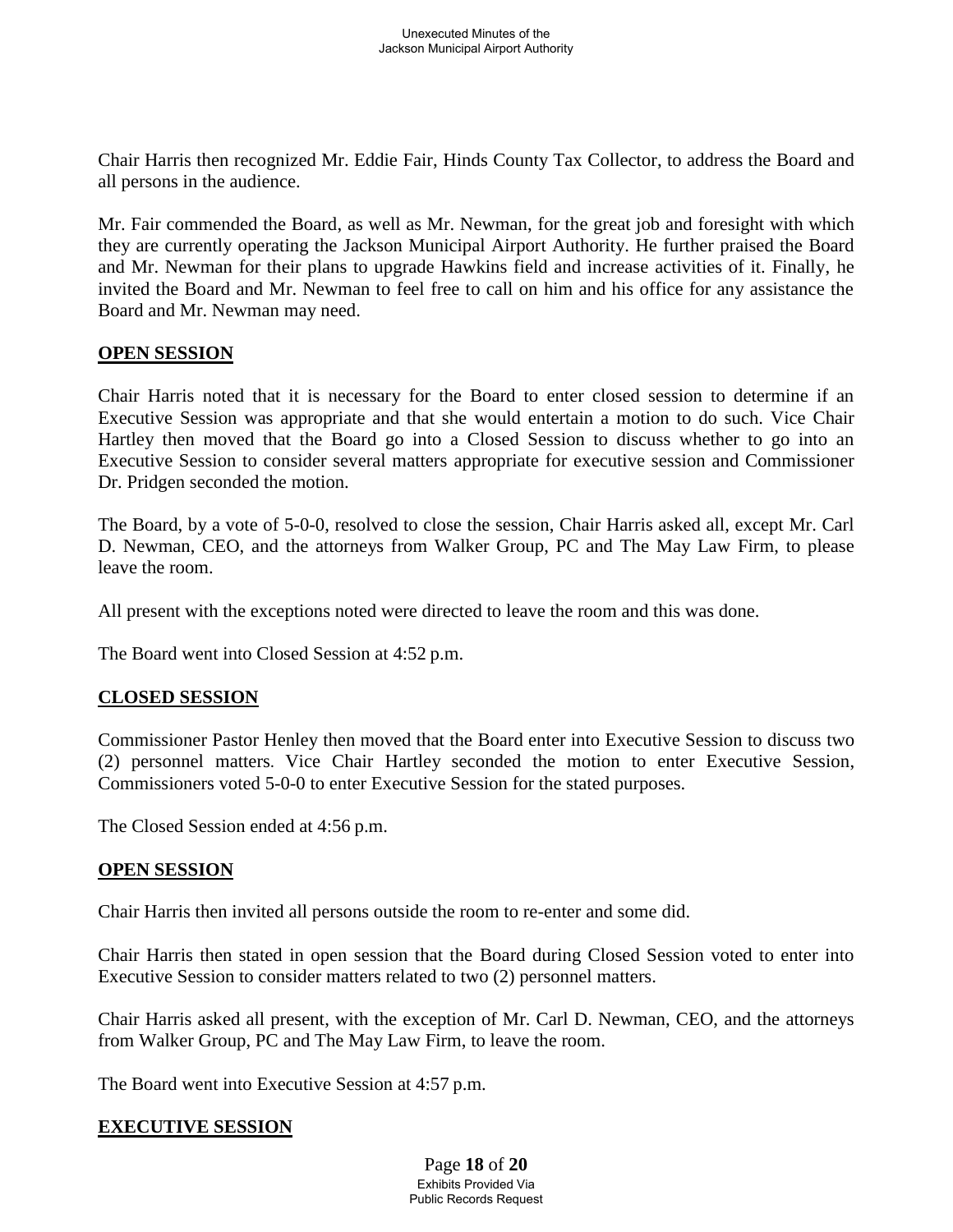Chair Harris then recognized Mr. Eddie Fair, Hinds County Tax Collector, to address the Board and all persons in the audience.

Mr. Fair commended the Board, as well as Mr. Newman, for the great job and foresight with which they are currently operating the Jackson Municipal Airport Authority. He further praised the Board and Mr. Newman for their plans to upgrade Hawkins field and increase activities of it. Finally, he invited the Board and Mr. Newman to feel free to call on him and his office for any assistance the Board and Mr. Newman may need.

### **OPEN SESSION**

Chair Harris noted that it is necessary for the Board to enter closed session to determine if an Executive Session was appropriate and that she would entertain a motion to do such. Vice Chair Hartley then moved that the Board go into a Closed Session to discuss whether to go into an Executive Session to consider several matters appropriate for executive session and Commissioner Dr. Pridgen seconded the motion.

The Board, by a vote of 5-0-0, resolved to close the session, Chair Harris asked all, except Mr. Carl D. Newman, CEO, and the attorneys from Walker Group, PC and The May Law Firm, to please leave the room.

All present with the exceptions noted were directed to leave the room and this was done.

The Board went into Closed Session at 4:52 p.m.

## **CLOSED SESSION**

Commissioner Pastor Henley then moved that the Board enter into Executive Session to discuss two (2) personnel matters. Vice Chair Hartley seconded the motion to enter Executive Session, Commissioners voted 5-0-0 to enter Executive Session for the stated purposes.

The Closed Session ended at 4:56 p.m.

### **OPEN SESSION**

Chair Harris then invited all persons outside the room to re-enter and some did.

Chair Harris then stated in open session that the Board during Closed Session voted to enter into Executive Session to consider matters related to two (2) personnel matters.

Chair Harris asked all present, with the exception of Mr. Carl D. Newman, CEO, and the attorneys from Walker Group, PC and The May Law Firm, to leave the room.

The Board went into Executive Session at 4:57 p.m.

### **EXECUTIVE SESSION**

Page **18** of **20** Exhibits Provided Via Public Records Request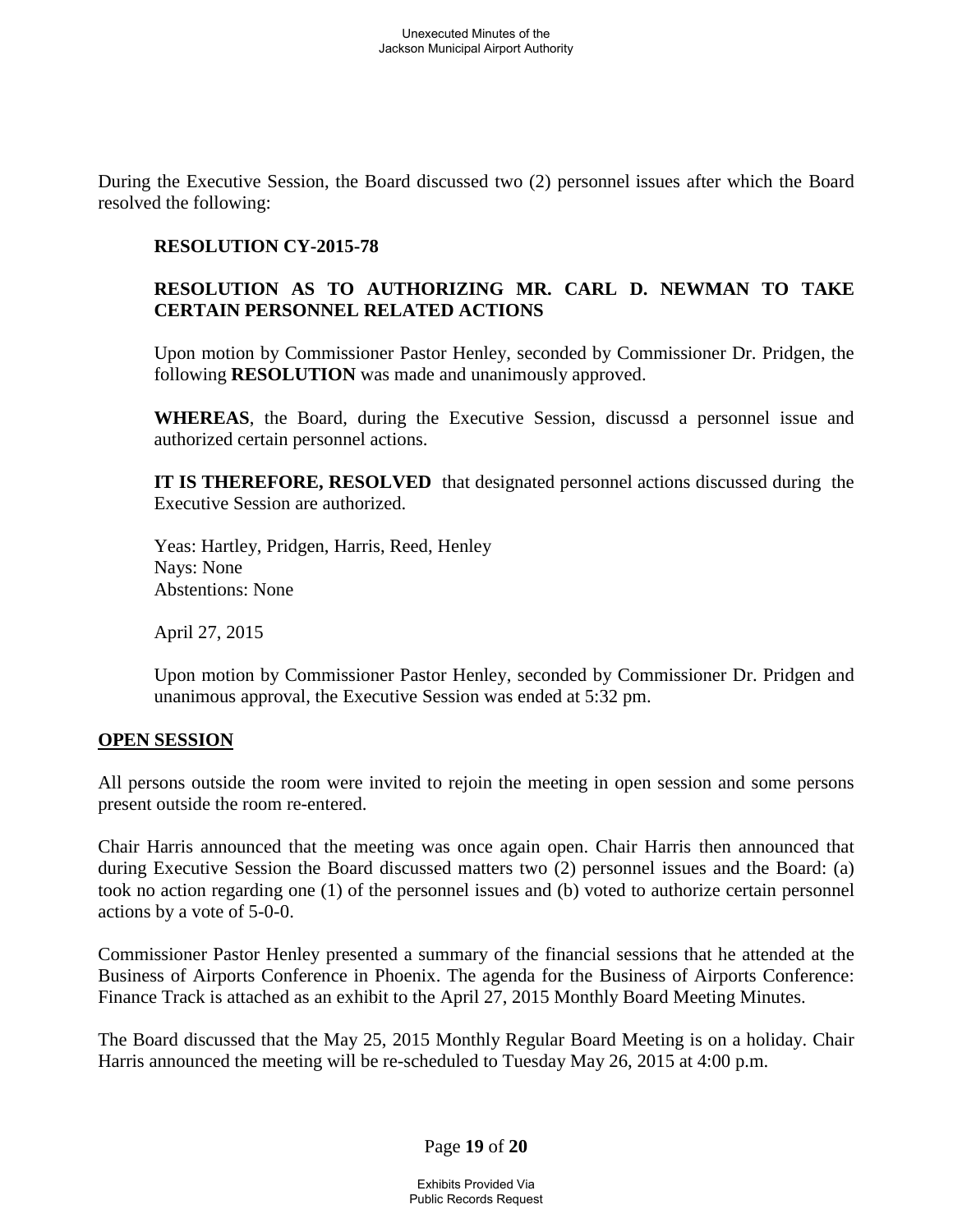During the Executive Session, the Board discussed two (2) personnel issues after which the Board resolved the following:

## **RESOLUTION CY-2015-78**

## **RESOLUTION AS TO AUTHORIZING MR. CARL D. NEWMAN TO TAKE CERTAIN PERSONNEL RELATED ACTIONS**

Upon motion by Commissioner Pastor Henley, seconded by Commissioner Dr. Pridgen, the following **RESOLUTION** was made and unanimously approved.

**WHEREAS**, the Board, during the Executive Session, discussd a personnel issue and authorized certain personnel actions.

**IT IS THEREFORE, RESOLVED** that designated personnel actions discussed during the Executive Session are authorized.

 Yeas: Hartley, Pridgen, Harris, Reed, Henley Nays: None Abstentions: None

April 27, 2015

Upon motion by Commissioner Pastor Henley, seconded by Commissioner Dr. Pridgen and unanimous approval, the Executive Session was ended at 5:32 pm.

### **OPEN SESSION**

All persons outside the room were invited to rejoin the meeting in open session and some persons present outside the room re-entered.

Chair Harris announced that the meeting was once again open. Chair Harris then announced that during Executive Session the Board discussed matters two (2) personnel issues and the Board: (a) took no action regarding one (1) of the personnel issues and (b) voted to authorize certain personnel actions by a vote of 5-0-0.

Commissioner Pastor Henley presented a summary of the financial sessions that he attended at the Business of Airports Conference in Phoenix. The agenda for the Business of Airports Conference: Finance Track is attached as an exhibit to the April 27, 2015 Monthly Board Meeting Minutes.

The Board discussed that the May 25, 2015 Monthly Regular Board Meeting is on a holiday. Chair Harris announced the meeting will be re-scheduled to Tuesday May 26, 2015 at 4:00 p.m.

Page **19** of **20**